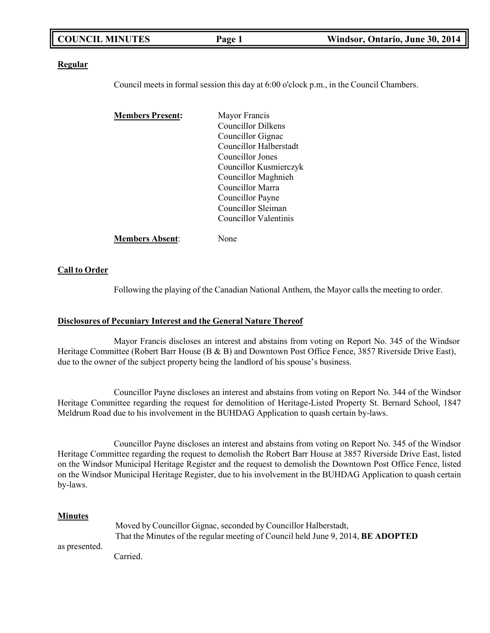|--|

#### **Regular**

Council meets in formal session this day at 6:00 o'clock p.m., in the Council Chambers.

| <b>Members Present:</b> | Mayor Francis                |
|-------------------------|------------------------------|
|                         | Councillor Dilkens           |
|                         | Councillor Gignac            |
|                         | Councillor Halberstadt       |
|                         | Councillor Jones             |
|                         | Councillor Kusmierczyk       |
|                         | Councillor Maghnieh          |
|                         | Councillor Marra             |
|                         | Councillor Payne             |
|                         | Councillor Sleiman           |
|                         | <b>Councillor Valentinis</b> |
| <b>Members Absent:</b>  | lone                         |

### **Call to Order**

Following the playing of the Canadian National Anthem, the Mayor calls the meeting to order.

### **Disclosures of Pecuniary Interest and the General Nature Thereof**

Mayor Francis discloses an interest and abstains from voting on Report No. 345 of the Windsor Heritage Committee (Robert Barr House (B & B) and Downtown Post Office Fence, 3857 Riverside Drive East), due to the owner of the subject property being the landlord of his spouse's business.

Councillor Payne discloses an interest and abstains from voting on Report No. 344 of the Windsor Heritage Committee regarding the request for demolition of Heritage-Listed Property St. Bernard School, 1847 Meldrum Road due to his involvement in the BUHDAG Application to quash certain by-laws.

Councillor Payne discloses an interest and abstains from voting on Report No. 345 of the Windsor Heritage Committee regarding the request to demolish the Robert Barr House at 3857 Riverside Drive East, listed on the Windsor Municipal Heritage Register and the request to demolish the Downtown Post Office Fence, listed on the Windsor Municipal Heritage Register, due to his involvement in the BUHDAG Application to quash certain by-laws.

### **Minutes**

|               | Moved by Councillor Gignac, seconded by Councillor Halberstadt,                  |  |  |  |
|---------------|----------------------------------------------------------------------------------|--|--|--|
|               | That the Minutes of the regular meeting of Council held June 9, 2014, BE ADOPTED |  |  |  |
| as presented. |                                                                                  |  |  |  |

Carried.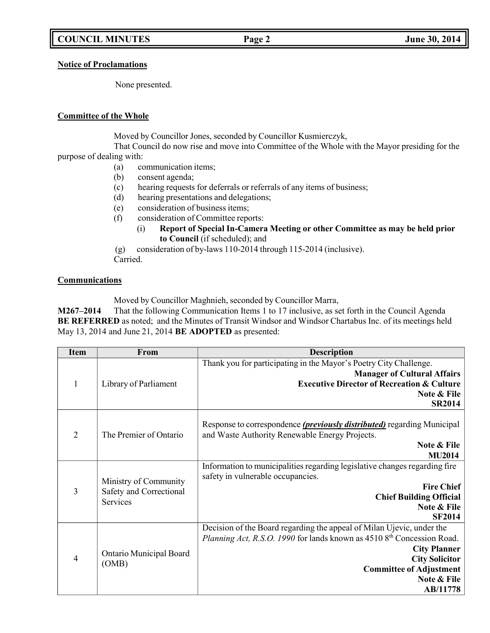**Notice of Proclamations**

None presented.

## **Committee of the Whole**

Moved by Councillor Jones, seconded by Councillor Kusmierczyk,

That Council do now rise and move into Committee of the Whole with the Mayor presiding for the purpose of dealing with:

- (a) communication items;
- (b) consent agenda;
- (c) hearing requests for deferrals or referrals of any items of business;
- (d) hearing presentations and delegations;
- (e) consideration of business items;
- (f) consideration of Committee reports:
	- (i) **Report of Special In-Camera Meeting or other Committee as may be held prior to Council** (if scheduled); and

(g) consideration of by-laws 110-2014 through 115-2014 (inclusive). Carried.

## **Communications**

Moved by Councillor Maghnieh, seconded by Councillor Marra,

**M267–2014** That the following Communication Items 1 to 17 inclusive, as set forth in the Council Agenda **BE REFERRED** as noted; and the Minutes of Transit Windsor and Windsor Chartabus Inc. of its meetings held May 13, 2014 and June 21, 2014 **BE ADOPTED** as presented:

| <b>Item</b>    | From                                                         | <b>Description</b>                                                                                                                                                                                                                                           |
|----------------|--------------------------------------------------------------|--------------------------------------------------------------------------------------------------------------------------------------------------------------------------------------------------------------------------------------------------------------|
| 1              | Library of Parliament                                        | Thank you for participating in the Mayor's Poetry City Challenge.<br><b>Manager of Cultural Affairs</b><br><b>Executive Director of Recreation &amp; Culture</b><br>Note & File<br><b>SR2014</b>                                                             |
| $\overline{2}$ | The Premier of Ontario                                       | Response to correspondence <i>(previously distributed)</i> regarding Municipal<br>and Waste Authority Renewable Energy Projects.<br>Note & File<br><b>MU2014</b>                                                                                             |
| $\overline{3}$ | Ministry of Community<br>Safety and Correctional<br>Services | Information to municipalities regarding legislative changes regarding fire<br>safety in vulnerable occupancies.<br><b>Fire Chief</b><br><b>Chief Building Official</b><br>Note & File<br><b>SF2014</b>                                                       |
| $\overline{4}$ | Ontario Municipal Board<br>(OMB)                             | Decision of the Board regarding the appeal of Milan Ujevic, under the<br>Planning Act, R.S.O. 1990 for lands known as 4510 8th Concession Road.<br><b>City Planner</b><br><b>City Solicitor</b><br><b>Committee of Adjustment</b><br>Note & File<br>AB/11778 |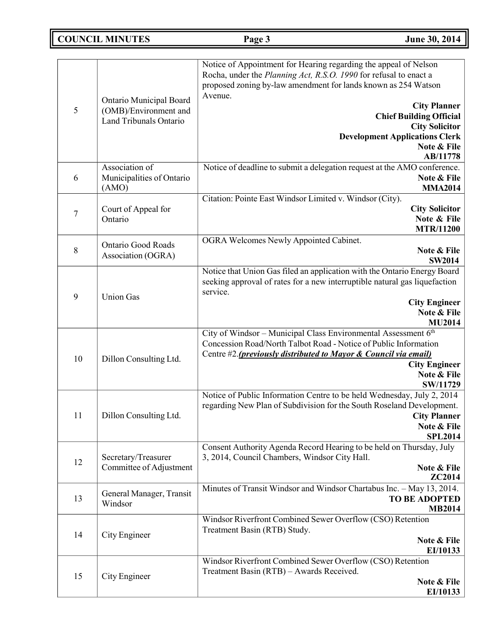**COUNCIL MINUTES Page 3 June 30, 2014**

| 5              | Ontario Municipal Board<br>(OMB)/Environment and<br>Land Tribunals Ontario | Notice of Appointment for Hearing regarding the appeal of Nelson<br>Rocha, under the Planning Act, R.S.O. 1990 for refusal to enact a<br>proposed zoning by-law amendment for lands known as 254 Watson<br>Avenue.<br><b>City Planner</b><br><b>Chief Building Official</b><br><b>City Solicitor</b><br><b>Development Applications Clerk</b><br>Note & File<br>AB/11778 |
|----------------|----------------------------------------------------------------------------|--------------------------------------------------------------------------------------------------------------------------------------------------------------------------------------------------------------------------------------------------------------------------------------------------------------------------------------------------------------------------|
| 6              | Association of<br>Municipalities of Ontario<br>(AMO)                       | Notice of deadline to submit a delegation request at the AMO conference.<br>Note & File<br><b>MMA2014</b>                                                                                                                                                                                                                                                                |
| $\overline{7}$ | Court of Appeal for<br>Ontario                                             | Citation: Pointe East Windsor Limited v. Windsor (City).<br><b>City Solicitor</b><br>Note & File<br><b>MTR/11200</b>                                                                                                                                                                                                                                                     |
| 8              | <b>Ontario Good Roads</b><br>Association (OGRA)                            | OGRA Welcomes Newly Appointed Cabinet.<br>Note & File<br><b>SW2014</b>                                                                                                                                                                                                                                                                                                   |
| 9              | <b>Union Gas</b>                                                           | Notice that Union Gas filed an application with the Ontario Energy Board<br>seeking approval of rates for a new interruptible natural gas liquefaction<br>service.<br><b>City Engineer</b><br>Note & File<br><b>MU2014</b>                                                                                                                                               |
| 10             | Dillon Consulting Ltd.                                                     | City of Windsor - Municipal Class Environmental Assessment 6th<br>Concession Road/North Talbot Road - Notice of Public Information<br>Centre #2. (previously distributed to Mayor & Council via email)<br><b>City Engineer</b><br>Note & File<br>SW/11729                                                                                                                |
| 11             | Dillon Consulting Ltd.                                                     | Notice of Public Information Centre to be held Wednesday, July 2, 2014<br>regarding New Plan of Subdivision for the South Roseland Development.<br><b>City Planner</b><br>Note & File<br><b>SPL2014</b>                                                                                                                                                                  |
| 12             | Secretary/Treasurer<br>Committee of Adjustment                             | Consent Authority Agenda Record Hearing to be held on Thursday, July<br>3, 2014, Council Chambers, Windsor City Hall.<br>Note & File<br>ZC2014                                                                                                                                                                                                                           |
| 13             | General Manager, Transit<br>Windsor                                        | Minutes of Transit Windsor and Windsor Chartabus Inc. - May 13, 2014.<br><b>TO BE ADOPTED</b><br><b>MB2014</b>                                                                                                                                                                                                                                                           |
| 14             | City Engineer                                                              | Windsor Riverfront Combined Sewer Overflow (CSO) Retention<br>Treatment Basin (RTB) Study.<br>Note & File<br>EI/10133                                                                                                                                                                                                                                                    |
| 15             | City Engineer                                                              | Windsor Riverfront Combined Sewer Overflow (CSO) Retention<br>Treatment Basin (RTB) - Awards Received.<br>Note & File<br>EI/10133                                                                                                                                                                                                                                        |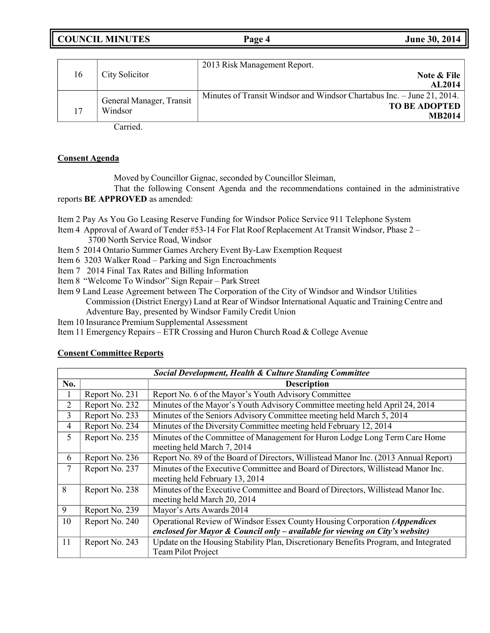**COUNCIL MINUTES Page 4 June 30, 2014**

|    |                                     | 2013 Risk Management Report.                                           |
|----|-------------------------------------|------------------------------------------------------------------------|
| 16 | City Solicitor                      | Note & File                                                            |
|    |                                     | <b>AL2014</b>                                                          |
|    |                                     | Minutes of Transit Windsor and Windsor Chartabus Inc. – June 21, 2014. |
| 17 | General Manager, Transit<br>Windsor | <b>TO BE ADOPTED</b>                                                   |
|    |                                     | <b>MB2014</b>                                                          |

Carried.

# **Consent Agenda**

Moved by Councillor Gignac, seconded by Councillor Sleiman,

That the following Consent Agenda and the recommendations contained in the administrative reports **BE APPROVED** as amended:

Item 2 Pay As You Go Leasing Reserve Funding for Windsor Police Service 911 Telephone System

- Item 4 Approval of Award of Tender #53-14 For Flat Roof Replacement At Transit Windsor, Phase 2 3700 North Service Road, Windsor
- Item 5 2014 Ontario Summer Games Archery Event By-Law Exemption Request
- Item 6 3203 Walker Road Parking and Sign Encroachments
- Item 7 2014 Final Tax Rates and Billing Information
- Item 8 "Welcome To Windsor" Sign Repair Park Street
- Item 9 Land Lease Agreement between The Corporation of the City of Windsor and Windsor Utilities Commission (District Energy) Land at Rear of Windsor International Aquatic and Training Centre and Adventure Bay, presented by Windsor Family Credit Union
- Item 10 Insurance Premium Supplemental Assessment

Item 11 Emergency Repairs – ETR Crossing and Huron Church Road & College Avenue

## **Consent Committee Reports**

|                | <b>Social Development, Health &amp; Culture Standing Committee</b> |                                                                                                                    |  |  |  |  |
|----------------|--------------------------------------------------------------------|--------------------------------------------------------------------------------------------------------------------|--|--|--|--|
| No.            |                                                                    | <b>Description</b>                                                                                                 |  |  |  |  |
| л.             | Report No. 231                                                     | Report No. 6 of the Mayor's Youth Advisory Committee                                                               |  |  |  |  |
| 2              | Report No. 232                                                     | Minutes of the Mayor's Youth Advisory Committee meeting held April 24, 2014                                        |  |  |  |  |
| 3              | Report No. 233                                                     | Minutes of the Seniors Advisory Committee meeting held March 5, 2014                                               |  |  |  |  |
| $\overline{4}$ | Report No. 234                                                     | Minutes of the Diversity Committee meeting held February 12, 2014                                                  |  |  |  |  |
| 5              | Report No. 235                                                     | Minutes of the Committee of Management for Huron Lodge Long Term Care Home<br>meeting held March 7, 2014           |  |  |  |  |
| 6              | Report No. 236                                                     | Report No. 89 of the Board of Directors, Willistead Manor Inc. (2013 Annual Report)                                |  |  |  |  |
| 7              | Report No. 237                                                     | Minutes of the Executive Committee and Board of Directors, Willistead Manor Inc.<br>meeting held February 13, 2014 |  |  |  |  |
| 8              | Report No. 238                                                     | Minutes of the Executive Committee and Board of Directors, Willistead Manor Inc.<br>meeting held March 20, 2014    |  |  |  |  |
| 9              | Report No. 239                                                     | Mayor's Arts Awards 2014                                                                                           |  |  |  |  |
| 10             | Report No. 240                                                     | Operational Review of Windsor Essex County Housing Corporation (Appendices                                         |  |  |  |  |
|                |                                                                    | enclosed for Mayor & Council only - available for viewing on City's website)                                       |  |  |  |  |
| 11             | Report No. 243                                                     | Update on the Housing Stability Plan, Discretionary Benefits Program, and Integrated<br>Team Pilot Project         |  |  |  |  |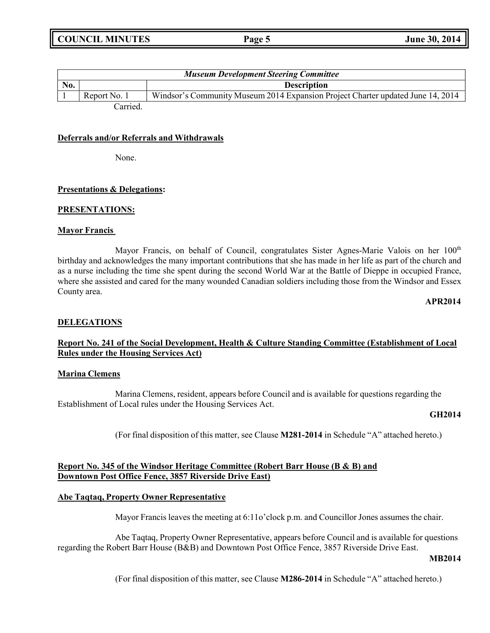| <b>Museum Development Steering Committee</b> |              |                                                                                 |  |  |
|----------------------------------------------|--------------|---------------------------------------------------------------------------------|--|--|
| No.                                          |              | <b>Description</b>                                                              |  |  |
|                                              | Report No. 1 | Windsor's Community Museum 2014 Expansion Project Charter updated June 14, 2014 |  |  |
|                                              | Carried.     |                                                                                 |  |  |

### **Deferrals and/or Referrals and Withdrawals**

None.

### **Presentations & Delegations:**

#### **PRESENTATIONS:**

### **Mayor Francis**

Mayor Francis, on behalf of Council, congratulates Sister Agnes-Marie Valois on her 100<sup>th</sup> birthday and acknowledges the many important contributions that she has made in her life as part of the church and as a nurse including the time she spent during the second World War at the Battle of Dieppe in occupied France, where she assisted and cared for the many wounded Canadian soldiers including those from the Windsor and Essex County area.

**APR2014**

## **DELEGATIONS**

## **Report No. 241 of the Social Development, Health & Culture Standing Committee (Establishment of Local Rules under the Housing Services Act)**

#### **Marina Clemens**

Marina Clemens, resident, appears before Council and is available for questions regarding the Establishment of Local rules under the Housing Services Act.

#### **GH2014**

(For final disposition of this matter, see Clause **M281-2014** in Schedule "A" attached hereto.)

## **Report No. 345 of the Windsor Heritage Committee (Robert Barr House (B & B) and Downtown Post Office Fence, 3857 Riverside Drive East)**

### **Abe Taqtaq, Property Owner Representative**

Mayor Francis leaves the meeting at 6:11o'clock p.m. and Councillor Jones assumes the chair.

Abe Taqtaq, Property Owner Representative, appears before Council and is available for questions regarding the Robert Barr House (B&B) and Downtown Post Office Fence, 3857 Riverside Drive East.

## **MB2014**

(For final disposition of this matter, see Clause **M286-2014** in Schedule "A" attached hereto.)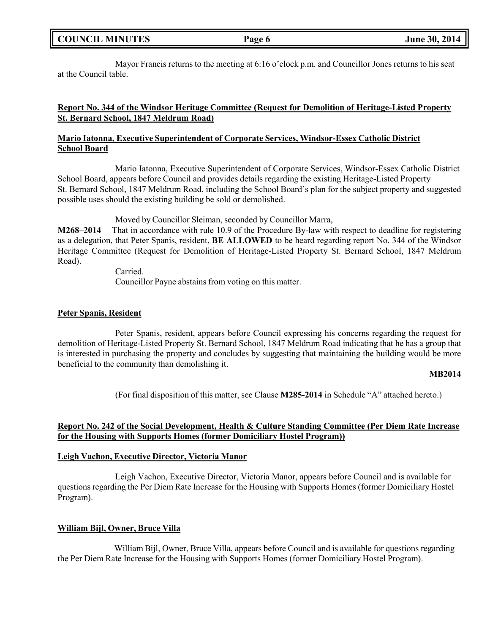Mayor Francis returns to the meeting at 6:16 o'clock p.m. and Councillor Jones returns to his seat at the Council table.

## **Report No. 344 of the Windsor Heritage Committee (Request for Demolition of Heritage-Listed Property St. Bernard School, 1847 Meldrum Road)**

## **Mario Iatonna, Executive Superintendent of Corporate Services, Windsor-Essex Catholic District School Board**

Mario Iatonna, Executive Superintendent of Corporate Services, Windsor-Essex Catholic District School Board, appears before Council and provides details regarding the existing Heritage-Listed Property St. Bernard School, 1847 Meldrum Road, including the School Board's plan for the subject property and suggested possible uses should the existing building be sold or demolished.

Moved by Councillor Sleiman, seconded by Councillor Marra,

**M268–2014** That in accordance with rule 10.9 of the Procedure By-law with respect to deadline for registering as a delegation, that Peter Spanis, resident, **BE ALLOWED** to be heard regarding report No. 344 of the Windsor Heritage Committee (Request for Demolition of Heritage-Listed Property St. Bernard School, 1847 Meldrum Road).

Carried.

Councillor Payne abstains from voting on this matter.

### **Peter Spanis, Resident**

Peter Spanis, resident, appears before Council expressing his concerns regarding the request for demolition of Heritage-Listed Property St. Bernard School, 1847 Meldrum Road indicating that he has a group that is interested in purchasing the property and concludes by suggesting that maintaining the building would be more beneficial to the community than demolishing it.

### **MB2014**

(For final disposition of this matter, see Clause **M285-2014** in Schedule "A" attached hereto.)

## **Report No. 242 of the Social Development, Health & Culture Standing Committee (Per Diem Rate Increase for the Housing with Supports Homes (former Domiciliary Hostel Program))**

## **Leigh Vachon, Executive Director, Victoria Manor**

Leigh Vachon, Executive Director, Victoria Manor, appears before Council and is available for questions regarding the Per Diem Rate Increase for the Housing with Supports Homes (former Domiciliary Hostel Program).

## **William Bijl, Owner, Bruce Villa**

William Bijl, Owner, Bruce Villa, appears before Council and is available for questions regarding the Per Diem Rate Increase for the Housing with Supports Homes (former Domiciliary Hostel Program).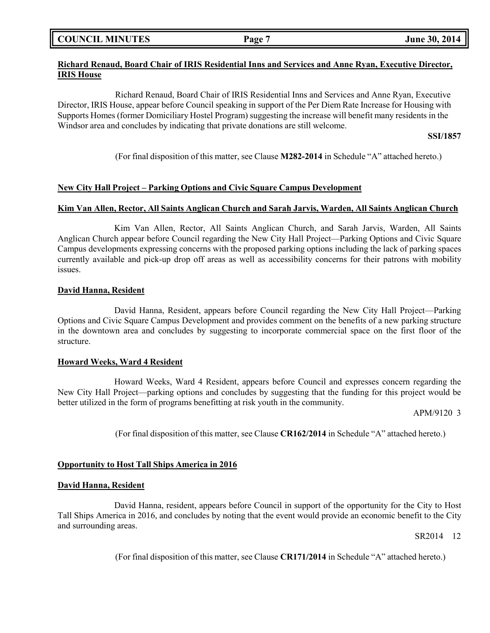| <b>COUNCIL MINUTES</b> |  |
|------------------------|--|
|------------------------|--|

## **Richard Renaud, Board Chair of IRIS Residential Inns and Services and Anne Ryan, Executive Director, IRIS House**

Richard Renaud, Board Chair of IRIS Residential Inns and Services and Anne Ryan, Executive Director, IRIS House, appear before Council speaking in support of the Per Diem Rate Increase for Housing with Supports Homes (former Domiciliary Hostel Program) suggesting the increase will benefit many residents in the Windsor area and concludes by indicating that private donations are still welcome.

## **SSI/1857**

(For final disposition of this matter, see Clause **M282-2014** in Schedule "A" attached hereto.)

## **New City Hall Project – Parking Options and Civic Square Campus Development**

### **Kim Van Allen, Rector, All Saints Anglican Church and Sarah Jarvis, Warden, All Saints Anglican Church**

Kim Van Allen, Rector, All Saints Anglican Church, and Sarah Jarvis, Warden, All Saints Anglican Church appear before Council regarding the New City Hall Project—Parking Options and Civic Square Campus developments expressing concerns with the proposed parking options including the lack of parking spaces currently available and pick-up drop off areas as well as accessibility concerns for their patrons with mobility issues.

## **David Hanna, Resident**

David Hanna, Resident, appears before Council regarding the New City Hall Project—Parking Options and Civic Square Campus Development and provides comment on the benefits of a new parking structure in the downtown area and concludes by suggesting to incorporate commercial space on the first floor of the structure.

#### **Howard Weeks, Ward 4 Resident**

Howard Weeks, Ward 4 Resident, appears before Council and expresses concern regarding the New City Hall Project—parking options and concludes by suggesting that the funding for this project would be better utilized in the form of programs benefitting at risk youth in the community.

APM/9120 3

(For final disposition of this matter, see Clause **CR162/2014** in Schedule "A" attached hereto.)

#### **Opportunity to Host Tall Ships America in 2016**

#### **David Hanna, Resident**

David Hanna, resident, appears before Council in support of the opportunity for the City to Host Tall Ships America in 2016, and concludes by noting that the event would provide an economic benefit to the City and surrounding areas.

SR2014 12

(For final disposition of this matter, see Clause **CR171/2014** in Schedule "A" attached hereto.)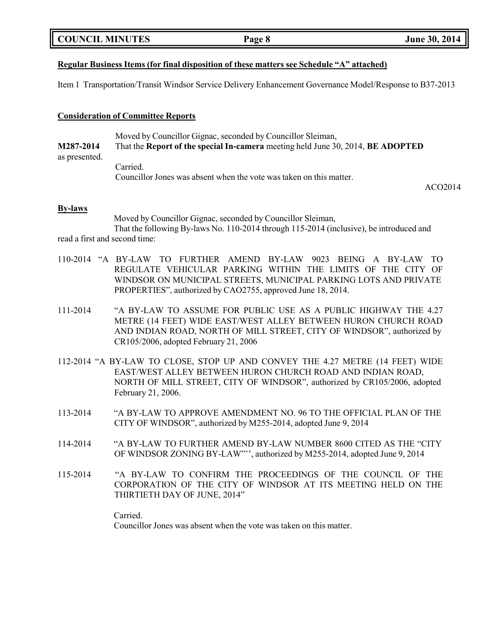|  | <b>COUNCIL MINUTES</b> |
|--|------------------------|
|--|------------------------|

## **Regular Business Items (for final disposition of these matters see Schedule "A" attached)**

Item 1 Transportation/Transit Windsor Service Delivery Enhancement Governance Model/Response to B37-2013

### **Consideration of Committee Reports**

Moved by Councillor Gignac, seconded by Councillor Sleiman, **M287-2014** That the **Report of the special In-camera** meeting held June 30, 2014, **BE ADOPTED** as presented. Carried.

Councillor Jones was absent when the vote was taken on this matter.

ACO2014

#### **By-laws**

Moved by Councillor Gignac, seconded by Councillor Sleiman, That the following By-laws No. 110-2014 through 115-2014 (inclusive), be introduced and read a first and second time:

- 110-2014 "A BY-LAW TO FURTHER AMEND BY-LAW 9023 BEING A BY-LAW TO REGULATE VEHICULAR PARKING WITHIN THE LIMITS OF THE CITY OF WINDSOR ON MUNICIPAL STREETS, MUNICIPAL PARKING LOTS AND PRIVATE PROPERTIES", authorized by CAO2755, approved June 18, 2014.
- 111-2014 "A BY-LAW TO ASSUME FOR PUBLIC USE AS A PUBLIC HIGHWAY THE 4.27 METRE (14 FEET) WIDE EAST/WEST ALLEY BETWEEN HURON CHURCH ROAD AND INDIAN ROAD, NORTH OF MILL STREET, CITY OF WINDSOR", authorized by CR105/2006, adopted February 21, 2006
- 112-2014 "A BY-LAW TO CLOSE, STOP UP AND CONVEY THE 4.27 METRE (14 FEET) WIDE EAST/WEST ALLEY BETWEEN HURON CHURCH ROAD AND INDIAN ROAD, NORTH OF MILL STREET, CITY OF WINDSOR", authorized by CR105/2006, adopted February 21, 2006.
- 113-2014 "A BY-LAW TO APPROVE AMENDMENT NO. 96 TO THE OFFICIAL PLAN OF THE CITY OF WINDSOR", authorized by M255-2014, adopted June 9, 2014
- 114-2014 "A BY-LAW TO FURTHER AMEND BY-LAW NUMBER 8600 CITED AS THE "CITY OF WINDSOR ZONING BY-LAW"'', authorized by M255-2014, adopted June 9, 2014
- 115-2014 "A BY-LAW TO CONFIRM THE PROCEEDINGS OF THE COUNCIL OF THE CORPORATION OF THE CITY OF WINDSOR AT ITS MEETING HELD ON THE THIRTIETH DAY OF JUNE, 2014"

Carried. Councillor Jones was absent when the vote was taken on this matter.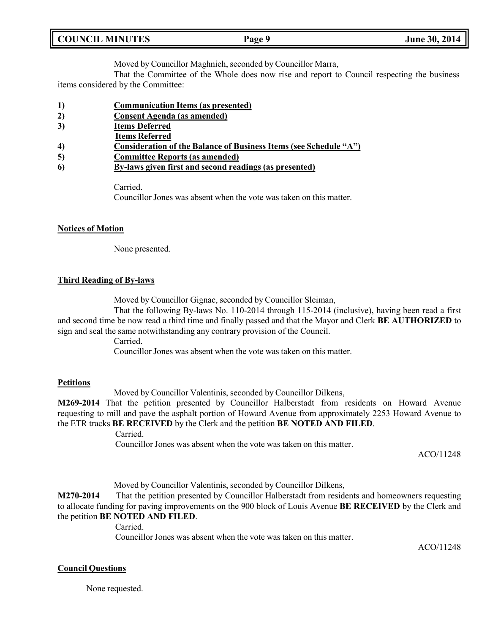| <b>COUNCIL MINUTES</b> | Page 9 |
|------------------------|--------|
|                        |        |

Moved by Councillor Maghnieh, seconded by Councillor Marra,

That the Committee of the Whole does now rise and report to Council respecting the business items considered by the Committee:

- **1) Communication Items (as presented)**
- **2) Consent Agenda (as amended)**
- **3) Items Deferred**
- **Items Referred**
- **4) Consideration of the Balance of Business Items (see Schedule "A")**
- **5) Committee Reports (as amended)**
- **6) By-laws given first and second readings (as presented)**

Carried.

Councillor Jones was absent when the vote was taken on this matter.

## **Notices of Motion**

None presented.

## **Third Reading of By-laws**

Moved by Councillor Gignac, seconded by Councillor Sleiman,

That the following By-laws No. 110-2014 through 115-2014 (inclusive), having been read a first and second time be now read a third time and finally passed and that the Mayor and Clerk **BE AUTHORIZED** to sign and seal the same notwithstanding any contrary provision of the Council.

Carried.

Councillor Jones was absent when the vote was taken on this matter.

## **Petitions**

Moved by Councillor Valentinis, seconded by Councillor Dilkens,

**M269-2014** That the petition presented by Councillor Halberstadt from residents on Howard Avenue requesting to mill and pave the asphalt portion of Howard Avenue from approximately 2253 Howard Avenue to the ETR tracks **BE RECEIVED** by the Clerk and the petition **BE NOTED AND FILED**.

Carried.

Councillor Jones was absent when the vote was taken on this matter.

ACO/11248

Moved by Councillor Valentinis, seconded by Councillor Dilkens,

**M270-2014** That the petition presented by Councillor Halberstadt from residents and homeowners requesting to allocate funding for paving improvements on the 900 block of Louis Avenue **BE RECEIVED** by the Clerk and the petition **BE NOTED AND FILED**.

Carried.

Councillor Jones was absent when the vote was taken on this matter.

ACO/11248

# **Council Questions**

None requested.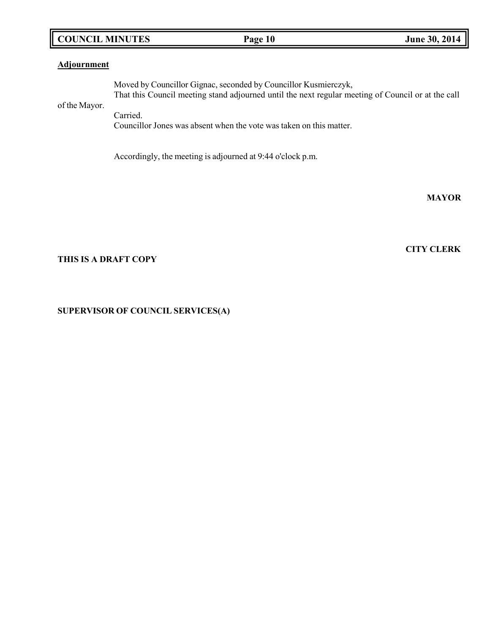# **COUNCIL MINUTES Page 10 June 30, 2014**

# **Adjournment**

of the Mayor. Moved by Councillor Gignac, seconded by Councillor Kusmierczyk, That this Council meeting stand adjourned until the next regular meeting of Council or at the call Carried.

Councillor Jones was absent when the vote was taken on this matter.

Accordingly, the meeting is adjourned at 9:44 o'clock p.m.

**MAYOR**

## **THIS IS A DRAFT COPY**

## **SUPERVISOR OF COUNCIL SERVICES(A)**

# **CITY CLERK**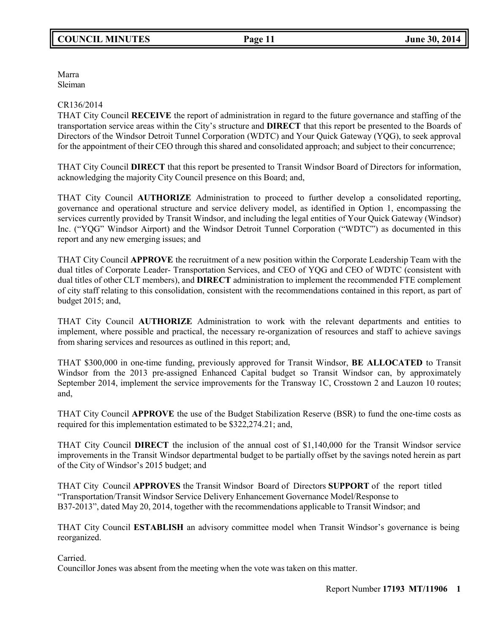Marra Sleiman

## CR136/2014

THAT City Council **RECEIVE** the report of administration in regard to the future governance and staffing of the transportation service areas within the City's structure and **DIRECT** that this report be presented to the Boards of Directors of the Windsor Detroit Tunnel Corporation (WDTC) and Your Quick Gateway (YQG), to seek approval for the appointment of their CEO through this shared and consolidated approach; and subject to their concurrence;

THAT City Council **DIRECT** that this report be presented to Transit Windsor Board of Directors for information, acknowledging the majority City Council presence on this Board; and,

THAT City Council **AUTHORIZE** Administration to proceed to further develop a consolidated reporting, governance and operational structure and service delivery model, as identified in Option 1, encompassing the services currently provided by Transit Windsor, and including the legal entities of Your Quick Gateway (Windsor) Inc. ("YQG" Windsor Airport) and the Windsor Detroit Tunnel Corporation ("WDTC") as documented in this report and any new emerging issues; and

THAT City Council **APPROVE** the recruitment of a new position within the Corporate Leadership Team with the dual titles of Corporate Leader- Transportation Services, and CEO of YQG and CEO of WDTC (consistent with dual titles of other CLT members), and **DIRECT** administration to implement the recommended FTE complement of city staff relating to this consolidation, consistent with the recommendations contained in this report, as part of budget 2015; and,

THAT City Council **AUTHORIZE** Administration to work with the relevant departments and entities to implement, where possible and practical, the necessary re-organization of resources and staff to achieve savings from sharing services and resources as outlined in this report; and,

THAT \$300,000 in one-time funding, previously approved for Transit Windsor, **BE ALLOCATED** to Transit Windsor from the 2013 pre-assigned Enhanced Capital budget so Transit Windsor can, by approximately September 2014, implement the service improvements for the Transway 1C, Crosstown 2 and Lauzon 10 routes; and,

THAT City Council **APPROVE** the use of the Budget Stabilization Reserve (BSR) to fund the one-time costs as required for this implementation estimated to be \$322,274.21; and,

THAT City Council **DIRECT** the inclusion of the annual cost of \$1,140,000 for the Transit Windsor service improvements in the Transit Windsor departmental budget to be partially offset by the savings noted herein as part of the City of Windsor's 2015 budget; and

THAT City Council **APPROVES** the Transit Windsor Board of Directors **SUPPORT** of the report titled "Transportation/Transit Windsor Service Delivery Enhancement Governance Model/Response to B37-2013", dated May 20, 2014, together with the recommendations applicable to Transit Windsor; and

THAT City Council **ESTABLISH** an advisory committee model when Transit Windsor's governance is being reorganized.

Carried.

Councillor Jones was absent from the meeting when the vote was taken on this matter.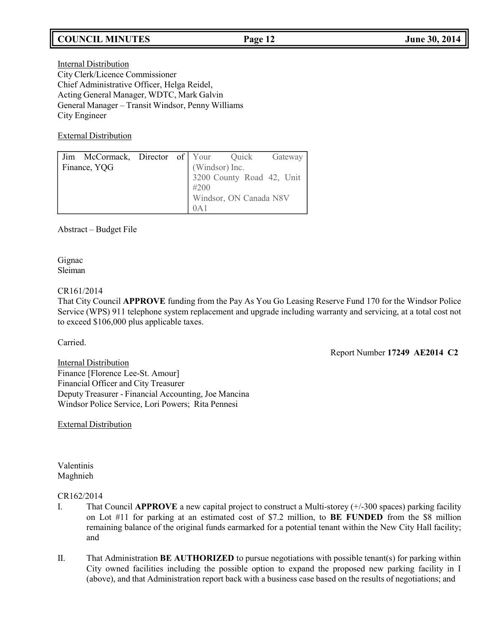# **COUNCIL MINUTES Page 12 June 30, 2014**

Internal Distribution City Clerk/Licence Commissioner Chief Administrative Officer, Helga Reidel, Acting General Manager, WDTC, Mark Galvin General Manager – Transit Windsor, Penny Williams City Engineer

External Distribution

| Jim McCormack, Director of Your Quick |  |                |                           | Gateway |
|---------------------------------------|--|----------------|---------------------------|---------|
| Finance, YQG                          |  | (Windsor) Inc. |                           |         |
|                                       |  |                | 3200 County Road 42, Unit |         |
|                                       |  | #200           |                           |         |
|                                       |  |                | Windsor, ON Canada N8V    |         |
|                                       |  | 0A1            |                           |         |

Abstract – Budget File

Gignac Sleiman

### CR161/2014

That City Council **APPROVE** funding from the Pay As You Go Leasing Reserve Fund 170 for the Windsor Police Service (WPS) 911 telephone system replacement and upgrade including warranty and servicing, at a total cost not to exceed \$106,000 plus applicable taxes.

Carried.

Report Number **17249 AE2014 C2**

Internal Distribution Finance [Florence Lee-St. Amour] Financial Officer and City Treasurer Deputy Treasurer - Financial Accounting, Joe Mancina Windsor Police Service, Lori Powers; Rita Pennesi

External Distribution

Valentinis Maghnieh

# CR162/2014

- I. That Council **APPROVE** a new capital project to construct a Multi-storey (+/-300 spaces) parking facility on Lot #11 for parking at an estimated cost of \$7.2 million, to **BE FUNDED** from the \$8 million remaining balance of the original funds earmarked for a potential tenant within the New City Hall facility; and
- II. That Administration **BE AUTHORIZED** to pursue negotiations with possible tenant(s) for parking within City owned facilities including the possible option to expand the proposed new parking facility in I (above), and that Administration report back with a business case based on the results of negotiations; and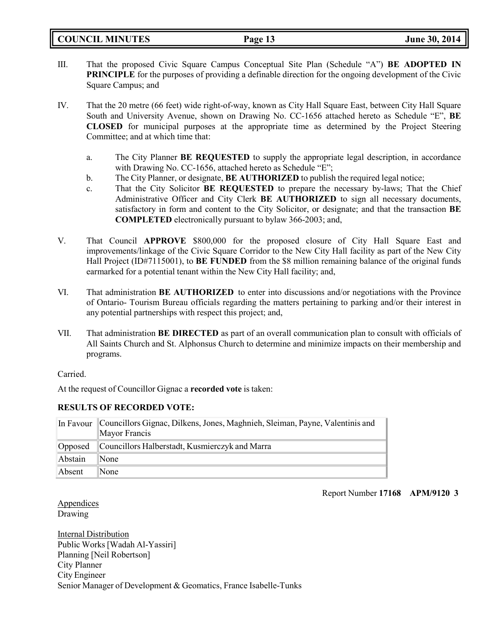**COUNCIL MINUTES Page 13 June 30, 2014**

- III. That the proposed Civic Square Campus Conceptual Site Plan (Schedule "A") **BE ADOPTED IN PRINCIPLE** for the purposes of providing a definable direction for the ongoing development of the Civic Square Campus; and
- IV. That the 20 metre (66 feet) wide right-of-way, known as City Hall Square East, between City Hall Square South and University Avenue, shown on Drawing No. CC-1656 attached hereto as Schedule "E", **BE CLOSED** for municipal purposes at the appropriate time as determined by the Project Steering Committee; and at which time that:
	- a. The City Planner **BE REQUESTED** to supply the appropriate legal description, in accordance with Drawing No. CC-1656, attached hereto as Schedule "E";
	- b. The City Planner, or designate, **BE AUTHORIZED** to publish the required legal notice;
	- c. That the City Solicitor **BE REQUESTED** to prepare the necessary by-laws; That the Chief Administrative Officer and City Clerk **BE AUTHORIZED** to sign all necessary documents, satisfactory in form and content to the City Solicitor, or designate; and that the transaction **BE COMPLETED** electronically pursuant to bylaw 366-2003; and,
- V. That Council **APPROVE** \$800,000 for the proposed closure of City Hall Square East and improvements/linkage of the Civic Square Corridor to the New City Hall facility as part of the New City Hall Project (ID#7115001), to **BE FUNDED** from the \$8 million remaining balance of the original funds earmarked for a potential tenant within the New City Hall facility; and,
- VI. That administration **BE AUTHORIZED** to enter into discussions and/or negotiations with the Province of Ontario- Tourism Bureau officials regarding the matters pertaining to parking and/or their interest in any potential partnerships with respect this project; and,
- VII. That administration **BE DIRECTED** as part of an overall communication plan to consult with officials of All Saints Church and St. Alphonsus Church to determine and minimize impacts on their membership and programs.

Carried.

At the request of Councillor Gignac a **recorded vote** is taken:

## **RESULTS OF RECORDED VOTE:**

|         | In Favour Councillors Gignac, Dilkens, Jones, Maghnieh, Sleiman, Payne, Valentinis and<br>Mayor Francis |
|---------|---------------------------------------------------------------------------------------------------------|
|         | Opposed Councillors Halberstadt, Kusmierczyk and Marra                                                  |
| Abstain | $\mathbb{N}$ one                                                                                        |
| Absent  | $\mathbb{N}$ one                                                                                        |

Report Number **17168 APM/9120 3**

Appendices Drawing

Internal Distribution Public Works[Wadah Al-Yassiri] Planning [Neil Robertson] City Planner City Engineer Senior Manager of Development & Geomatics, France Isabelle-Tunks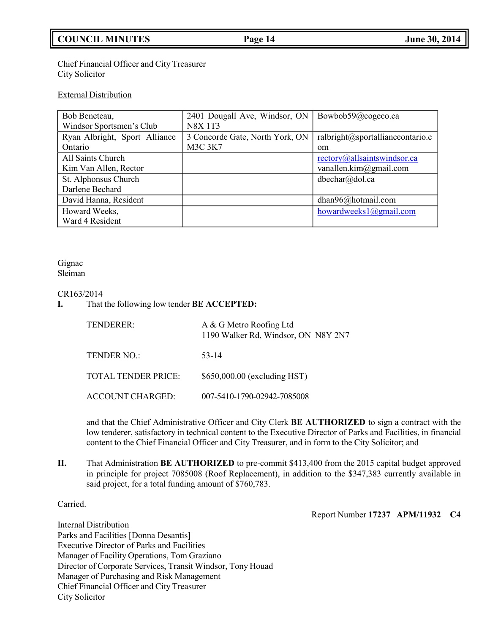# **COUNCIL MINUTES Page 14 June 30, 2014**

Chief Financial Officer and City Treasurer City Solicitor

#### External Distribution

| Bob Beneteau,                 | 2401 Dougall Ave, Windsor, ON   | Bowbob59@cogeco.ca                     |
|-------------------------------|---------------------------------|----------------------------------------|
| Windsor Sportsmen's Club      | <b>N8X 1T3</b>                  |                                        |
| Ryan Albright, Sport Alliance | 3 Concorde Gate, North York, ON | ralbright@sportallianceontario.c       |
| Ontario                       | <b>M3C 3K7</b>                  | om                                     |
| All Saints Church             |                                 | rectory@allsaintswindsor.ca            |
| Kim Van Allen, Rector         |                                 | vanallen.kim $@g$ mail.com             |
| St. Alphonsus Church          |                                 | dbechar@dol.ca                         |
| Darlene Bechard               |                                 |                                        |
| David Hanna, Resident         |                                 | dhan96@hotmail.com                     |
| Howard Weeks,                 |                                 | howardweeks $1$ ( $\partial$ gmail.com |
| Ward 4 Resident               |                                 |                                        |

#### Gignac Sleiman

# CR163/2014

**I.** That the following low tender **BE ACCEPTED:**

| TENDERER:                  | A & G Metro Roofing Ltd<br>1190 Walker Rd, Windsor, ON N8Y 2N7 |
|----------------------------|----------------------------------------------------------------|
| TENDER NO.:                | 53-14                                                          |
| <b>TOTAL TENDER PRICE:</b> | \$650,000.00 (excluding HST)                                   |
| ACCOUNT CHARGED:           | 007-5410-1790-02942-7085008                                    |

and that the Chief Administrative Officer and City Clerk **BE AUTHORIZED** to sign a contract with the low tenderer, satisfactory in technical content to the Executive Director of Parks and Facilities, in financial content to the Chief Financial Officer and City Treasurer, and in form to the City Solicitor; and

**II.** That Administration **BE AUTHORIZED** to pre-commit \$413,400 from the 2015 capital budget approved in principle for project 7085008 (Roof Replacement), in addition to the \$347,383 currently available in said project, for a total funding amount of \$760,783.

Carried.

Report Number **17237 APM/11932 C4**

Internal Distribution Parks and Facilities [Donna Desantis] Executive Director of Parks and Facilities Manager of Facility Operations, Tom Graziano Director of Corporate Services, Transit Windsor, Tony Houad Manager of Purchasing and Risk Management Chief Financial Officer and City Treasurer City Solicitor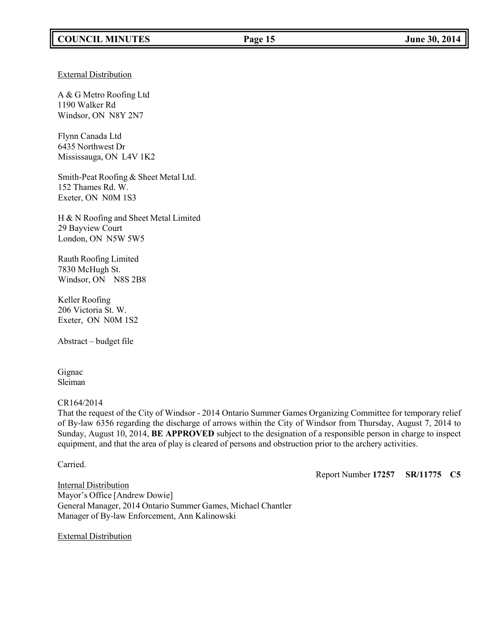External Distribution

A & G Metro Roofing Ltd 1190 Walker Rd Windsor, ON N8Y 2N7

Flynn Canada Ltd 6435 Northwest Dr Mississauga, ON L4V 1K2

Smith-Peat Roofing & Sheet Metal Ltd. 152 Thames Rd. W. Exeter, ON N0M 1S3

H & N Roofing and Sheet Metal Limited 29 Bayview Court London, ON N5W 5W5

Rauth Roofing Limited 7830 McHugh St. Windsor, ON N8S 2B8

Keller Roofing 206 Victoria St. W. Exeter, ON N0M 1S2

Abstract – budget file

Gignac Sleiman

#### CR164/2014

That the request of the City of Windsor - 2014 Ontario Summer Games Organizing Committee for temporary relief of By-law 6356 regarding the discharge of arrows within the City of Windsor from Thursday, August 7, 2014 to Sunday, August 10, 2014, **BE APPROVED** subject to the designation of a responsible person in charge to inspect equipment, and that the area of play is cleared of persons and obstruction prior to the archery activities.

Carried.

Report Number **17257 SR/11775 C5**

Internal Distribution Mayor's Office [Andrew Dowie] General Manager, 2014 Ontario Summer Games, Michael Chantler Manager of By-law Enforcement, Ann Kalinowski

External Distribution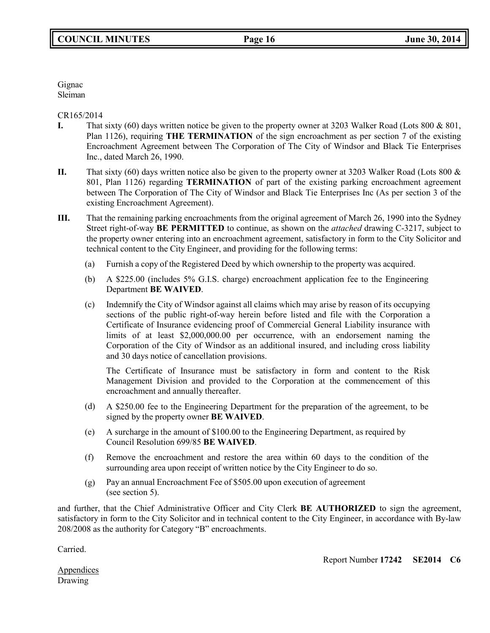Gignac Sleiman

CR165/2014

- **I.** That sixty (60) days written notice be given to the property owner at 3203 Walker Road (Lots 800 & 801, Plan 1126), requiring **THE TERMINATION** of the sign encroachment as per section 7 of the existing Encroachment Agreement between The Corporation of The City of Windsor and Black Tie Enterprises Inc., dated March 26, 1990.
- **II.** That sixty (60) days written notice also be given to the property owner at 3203 Walker Road (Lots 800 & 801, Plan 1126) regarding **TERMINATION** of part of the existing parking encroachment agreement between The Corporation of The City of Windsor and Black Tie Enterprises Inc (As per section 3 of the existing Encroachment Agreement).
- **III.** That the remaining parking encroachments from the original agreement of March 26, 1990 into the Sydney Street right-of-way **BE PERMITTED** to continue, as shown on the *attached* drawing C-3217, subject to the property owner entering into an encroachment agreement, satisfactory in form to the City Solicitor and technical content to the City Engineer, and providing for the following terms:
	- (a) Furnish a copy of the Registered Deed by which ownership to the property was acquired.
	- (b) A \$225.00 (includes 5% G.I.S. charge) encroachment application fee to the Engineering Department **BE WAIVED**.
	- (c) Indemnify the City of Windsor against all claims which may arise by reason of its occupying sections of the public right-of-way herein before listed and file with the Corporation a Certificate of Insurance evidencing proof of Commercial General Liability insurance with limits of at least \$2,000,000.00 per occurrence, with an endorsement naming the Corporation of the City of Windsor as an additional insured, and including cross liability and 30 days notice of cancellation provisions.

The Certificate of Insurance must be satisfactory in form and content to the Risk Management Division and provided to the Corporation at the commencement of this encroachment and annually thereafter.

- (d) A \$250.00 fee to the Engineering Department for the preparation of the agreement, to be signed by the property owner **BE WAIVED**.
- (e) A surcharge in the amount of \$100.00 to the Engineering Department, as required by Council Resolution 699/85 **BE WAIVED**.
- (f) Remove the encroachment and restore the area within 60 days to the condition of the surrounding area upon receipt of written notice by the City Engineer to do so.
- (g) Pay an annual Encroachment Fee of \$505.00 upon execution of agreement (see section 5).

and further, that the Chief Administrative Officer and City Clerk **BE AUTHORIZED** to sign the agreement, satisfactory in form to the City Solicitor and in technical content to the City Engineer, in accordance with By-law 208/2008 as the authority for Category "B" encroachments.

Carried.

Report Number **17242 SE2014 C6**

**Appendices** Drawing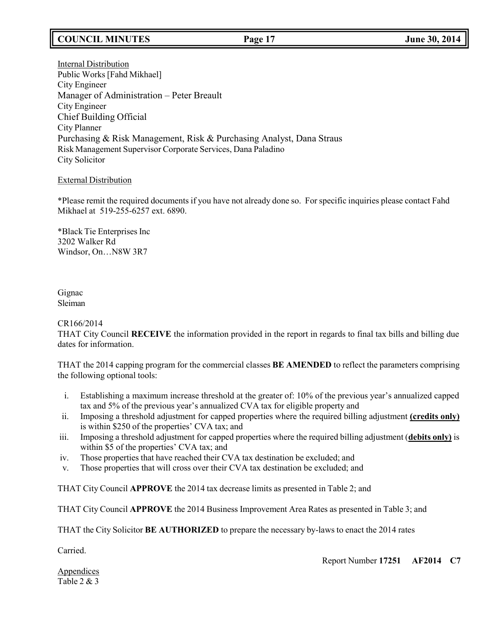# **COUNCIL MINUTES Page 17 June 30, 2014**

Internal Distribution Public Works [Fahd Mikhael] City Engineer Manager of Administration – Peter Breault City Engineer Chief Building Official City Planner Purchasing & Risk Management, Risk & Purchasing Analyst, Dana Straus Risk Management Supervisor Corporate Services, Dana Paladino City Solicitor

## External Distribution

\*Please remit the required documents if you have not already done so. For specific inquiries please contact Fahd Mikhael at 519-255-6257 ext. 6890.

\*Black Tie Enterprises Inc 3202 Walker Rd Windsor, On…N8W 3R7

Gignac Sleiman

#### CR166/2014

THAT City Council **RECEIVE** the information provided in the report in regards to final tax bills and billing due dates for information.

THAT the 2014 capping program for the commercial classes **BE AMENDED** to reflect the parameters comprising the following optional tools:

- i. Establishing a maximum increase threshold at the greater of: 10% of the previous year's annualized capped tax and 5% of the previous year's annualized CVA tax for eligible property and
- ii. Imposing a threshold adjustment for capped properties where the required billing adjustment **(credits only)** is within \$250 of the properties' CVA tax; and
- iii. Imposing a threshold adjustment for capped properties where the required billing adjustment (**debits only)** is within \$5 of the properties' CVA tax; and
- iv. Those properties that have reached their CVA tax destination be excluded; and
- v. Those properties that will cross over their CVA tax destination be excluded; and

THAT City Council **APPROVE** the 2014 tax decrease limits as presented in Table 2; and

THAT City Council **APPROVE** the 2014 Business Improvement Area Rates as presented in Table 3; and

THAT the City Solicitor **BE AUTHORIZED** to prepare the necessary by-laws to enact the 2014 rates

Carried.

Report Number **17251 AF2014 C7**

**Appendices** Table 2 & 3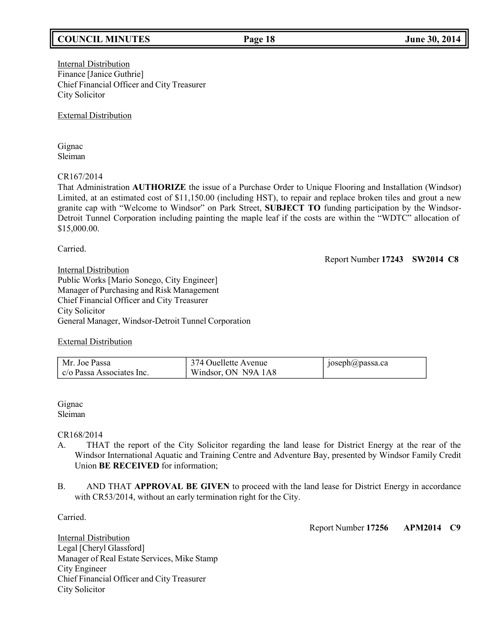# **COUNCIL MINUTES Page 18 June 30, 2014**

Internal Distribution Finance [Janice Guthrie] Chief Financial Officer and City Treasurer City Solicitor

External Distribution

Gignac Sleiman

# CR167/2014

That Administration **AUTHORIZE** the issue of a Purchase Order to Unique Flooring and Installation (Windsor) Limited, at an estimated cost of \$11,150.00 (including HST), to repair and replace broken tiles and grout a new granite cap with "Welcome to Windsor" on Park Street, **SUBJECT TO** funding participation by the Windsor-Detroit Tunnel Corporation including painting the maple leaf if the costs are within the "WDTC" allocation of \$15,000.00.

Carried.

Report Number **17243 SW2014 C8**

Internal Distribution Public Works [Mario Sonego, City Engineer] Manager of Purchasing and Risk Management Chief Financial Officer and City Treasurer City Solicitor General Manager, Windsor-Detroit Tunnel Corporation

## External Distribution

| Mr. Joe Passa             | 374 Ouellette Avenue | $\text{poseph}(a)$ passa.ca |
|---------------------------|----------------------|-----------------------------|
| c/o Passa Associates Inc. | Windsor, ON N9A 1A8  |                             |

Gignac Sleiman

CR168/2014

- A. THAT the report of the City Solicitor regarding the land lease for District Energy at the rear of the Windsor International Aquatic and Training Centre and Adventure Bay, presented by Windsor Family Credit Union **BE RECEIVED** for information;
- B. AND THAT **APPROVAL BE GIVEN** to proceed with the land lease for District Energy in accordance with CR53/2014, without an early termination right for the City.

Carried.

Report Number **17256 APM2014 C9**

Internal Distribution Legal [Cheryl Glassford] Manager of Real Estate Services, Mike Stamp City Engineer Chief Financial Officer and City Treasurer City Solicitor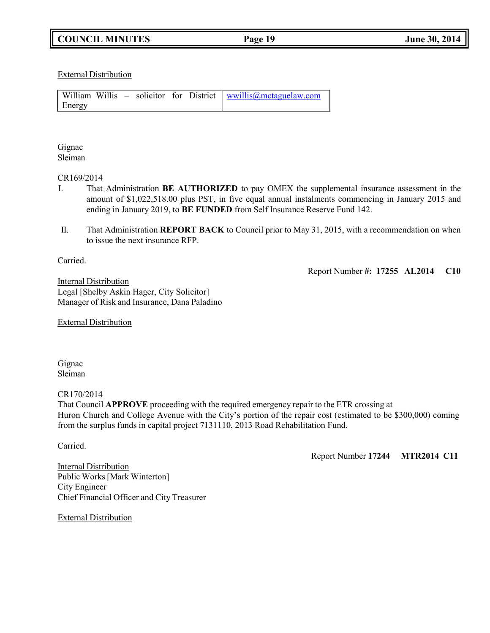External Distribution

|        |  |  | William Willis – solicitor for District wwillis@mctaguelaw.com |
|--------|--|--|----------------------------------------------------------------|
| Energy |  |  |                                                                |

Gignac Sleiman

#### CR169/2014

- I. That Administration **BE AUTHORIZED** to pay OMEX the supplemental insurance assessment in the amount of \$1,022,518.00 plus PST, in five equal annual instalments commencing in January 2015 and ending in January 2019, to **BE FUNDED** from Self Insurance Reserve Fund 142.
- II. That Administration **REPORT BACK** to Council prior to May 31, 2015, with a recommendation on when to issue the next insurance RFP.

Carried.

Report Number **#: 17255 AL2014 C10**

Internal Distribution Legal [Shelby Askin Hager, City Solicitor] Manager of Risk and Insurance, Dana Paladino

External Distribution

Gignac Sleiman

CR170/2014

That Council **APPROVE** proceeding with the required emergency repair to the ETR crossing at Huron Church and College Avenue with the City's portion of the repair cost (estimated to be \$300,000) coming from the surplus funds in capital project 7131110, 2013 Road Rehabilitation Fund.

Carried.

Report Number **17244 MTR2014 C11**

Internal Distribution Public Works[Mark Winterton] City Engineer Chief Financial Officer and City Treasurer

External Distribution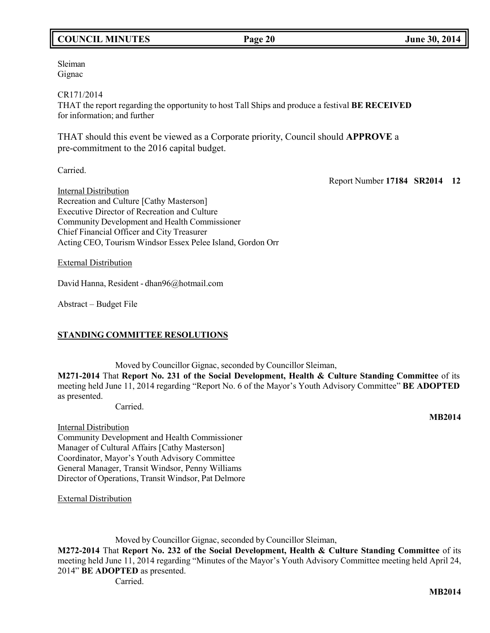# **COUNCIL MINUTES Page 20 June 30, 2014**

Sleiman Gignac

CR171/2014

THAT the report regarding the opportunity to host Tall Ships and produce a festival **BE RECEIVED** for information; and further

THAT should this event be viewed as a Corporate priority, Council should **APPROVE** a pre-commitment to the 2016 capital budget.

Carried.

Report Number **17184 SR2014 12**

Internal Distribution Recreation and Culture [Cathy Masterson] Executive Director of Recreation and Culture Community Development and Health Commissioner Chief Financial Officer and City Treasurer Acting CEO, Tourism Windsor Essex Pelee Island, Gordon Orr

External Distribution

David Hanna, Resident - [dhan96@hotmail.com](mailto:dhan96@hotmail.com)

Abstract – Budget File

## **STANDING COMMITTEE RESOLUTIONS**

Moved by Councillor Gignac, seconded by Councillor Sleiman,

**M271-2014** That **Report No. 231 of the Social Development, Health & Culture Standing Committee** of its meeting held June 11, 2014 regarding "Report No. 6 of the Mayor's Youth Advisory Committee" **BE ADOPTED** as presented.

Carried.

Internal Distribution

Community Development and Health Commissioner Manager of Cultural Affairs [Cathy Masterson] Coordinator, Mayor's Youth Advisory Committee General Manager, Transit Windsor, Penny Williams Director of Operations, Transit Windsor, Pat Delmore

External Distribution

Moved by Councillor Gignac, seconded by Councillor Sleiman,

**M272-2014** That **Report No. 232 of the Social Development, Health & Culture Standing Committee** of its meeting held June 11, 2014 regarding "Minutes of the Mayor's Youth Advisory Committee meeting held April 24, 2014" **BE ADOPTED** as presented.

Carried.

**MB2014**

**MB2014**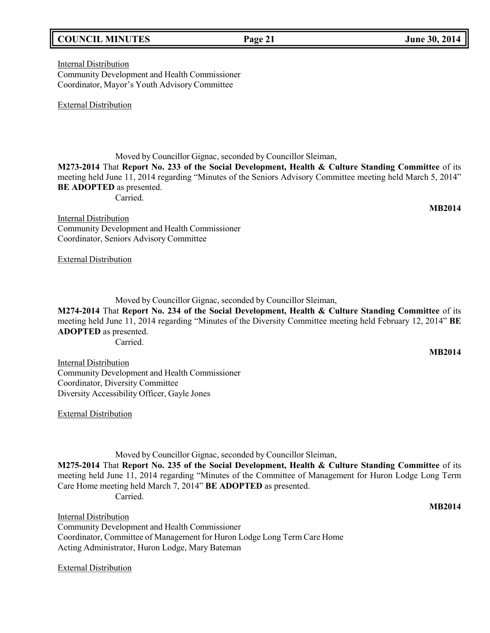# **COUNCIL MINUTES Page 21 June 30, 2014**

Internal Distribution Community Development and Health Commissioner Coordinator, Mayor's Youth Advisory Committee

External Distribution

Moved by Councillor Gignac, seconded by Councillor Sleiman,

**M273-2014** That **Report No. 233 of the Social Development, Health & Culture Standing Committee** of its meeting held June 11, 2014 regarding "Minutes of the Seniors Advisory Committee meeting held March 5, 2014" **BE ADOPTED** as presented.

Carried.

**MB2014**

**Internal Distribution** Community Development and Health Commissioner Coordinator, Seniors Advisory Committee

External Distribution

Moved by Councillor Gignac, seconded by Councillor Sleiman,

**M274-2014** That **Report No. 234 of the Social Development, Health & Culture Standing Committee** of its meeting held June 11, 2014 regarding "Minutes of the Diversity Committee meeting held February 12, 2014" **BE ADOPTED** as presented.

Carried.

**MB2014**

Internal Distribution Community Development and Health Commissioner Coordinator, Diversity Committee Diversity Accessibility Officer, Gayle Jones

External Distribution

Moved by Councillor Gignac, seconded by Councillor Sleiman,

**M275-2014** That **Report No. 235 of the Social Development, Health & Culture Standing Committee** of its meeting held June 11, 2014 regarding "Minutes of the Committee of Management for Huron Lodge Long Term Care Home meeting held March 7, 2014" **BE ADOPTED** as presented. Carried.

**MB2014**

Internal Distribution Community Development and Health Commissioner Coordinator, Committee of Management for Huron Lodge Long Term Care Home Acting Administrator, Huron Lodge, Mary Bateman

External Distribution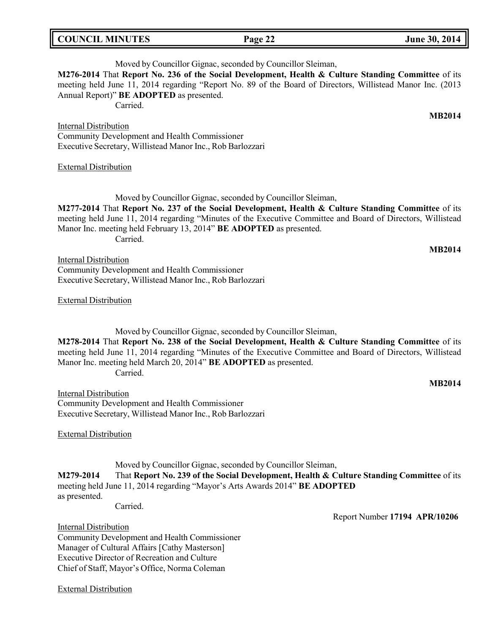| <b>COUNCIL MINUTES</b> |  |  |
|------------------------|--|--|
|------------------------|--|--|

# Moved by Councillor Gignac, seconded by Councillor Sleiman, **M276-2014** That **Report No. 236 of the Social Development, Health & Culture Standing Committee** of its

meeting held June 11, 2014 regarding "Report No. 89 of the Board of Directors, Willistead Manor Inc. (2013 Annual Report)" **BE ADOPTED** as presented.

Carried.

Internal Distribution

Community Development and Health Commissioner Executive Secretary, Willistead Manor Inc., Rob Barlozzari

External Distribution

Moved by Councillor Gignac, seconded by Councillor Sleiman, **M277-2014** That **Report No. 237 of the Social Development, Health & Culture Standing Committee** of its meeting held June 11, 2014 regarding "Minutes of the Executive Committee and Board of Directors, Willistead Manor Inc. meeting held February 13, 2014" **BE ADOPTED** as presented. Carried.

**MB2014**

**MB2014**

**Internal Distribution** Community Development and Health Commissioner Executive Secretary, Willistead Manor Inc., Rob Barlozzari

External Distribution

Moved by Councillor Gignac, seconded by Councillor Sleiman, **M278-2014** That **Report No. 238 of the Social Development, Health & Culture Standing Committee** of its meeting held June 11, 2014 regarding "Minutes of the Executive Committee and Board of Directors, Willistead Manor Inc. meeting held March 20, 2014" **BE ADOPTED** as presented. Carried.

Internal Distribution Community Development and Health Commissioner Executive Secretary, Willistead Manor Inc., Rob Barlozzari

External Distribution

Moved by Councillor Gignac, seconded by Councillor Sleiman, **M279-2014** That **Report No. 239 of the Social Development, Health & Culture Standing Committee** of its meeting held June 11, 2014 regarding "Mayor's Arts Awards 2014" **BE ADOPTED** as presented.

Carried.

Report Number **17194 APR/10206**

Internal Distribution Community Development and Health Commissioner Manager of Cultural Affairs [Cathy Masterson] Executive Director of Recreation and Culture Chief of Staff, Mayor's Office, Norma Coleman

External Distribution

**COUNCIL EXECUTE:** Fig. 2014

**MB2014**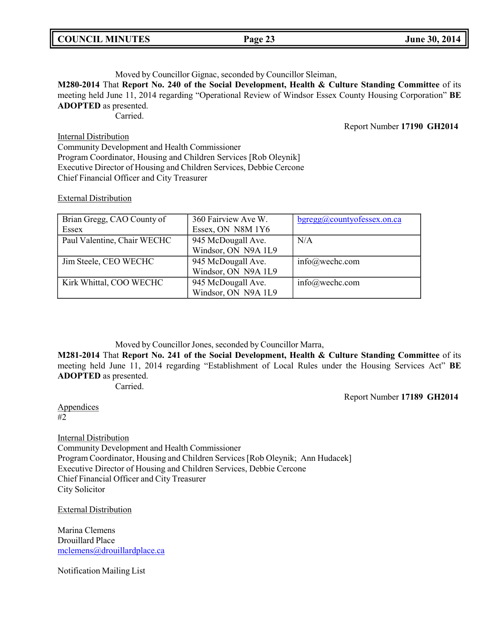| <b>COUNCIL MINUTES</b> |  |
|------------------------|--|
|------------------------|--|

## Moved by Councillor Gignac, seconded by Councillor Sleiman,

**M280-2014** That **Report No. 240 of the Social Development, Health & Culture Standing Committee** of its meeting held June 11, 2014 regarding "Operational Review of Windsor Essex County Housing Corporation" **BE ADOPTED** as presented.

Carried.

Report Number **17190 GH2014**

Internal Distribution Community Development and Health Commissioner Program Coordinator, Housing and Children Services [Rob Oleynik] Executive Director of Housing and Children Services, Debbie Cercone Chief Financial Officer and City Treasurer

## External Distribution

| Brian Gregg, CAO County of  | 360 Fairview Ave W. | $b$ gregg@countyofessex.on.ca |
|-----------------------------|---------------------|-------------------------------|
| Essex                       | Essex, ON N8M 1Y6   |                               |
| Paul Valentine, Chair WECHC | 945 McDougall Ave.  | N/A                           |
|                             | Windsor, ON N9A 1L9 |                               |
| Jim Steele, CEO WECHC       | 945 McDougall Ave.  | $info@$ wechc.com             |
|                             | Windsor, ON N9A 1L9 |                               |
| Kirk Whittal, COO WECHC     | 945 McDougall Ave.  | $info@$ wechc.com             |
|                             | Windsor, ON N9A 1L9 |                               |

Moved by Councillor Jones, seconded by Councillor Marra,

**M281-2014** That **Report No. 241 of the Social Development, Health & Culture Standing Committee** of its meeting held June 11, 2014 regarding "Establishment of Local Rules under the Housing Services Act" **BE ADOPTED** as presented.

Carried.

Report Number **17189 GH2014**

**Appendices** #2

**Internal Distribution** Community Development and Health Commissioner Program Coordinator, Housing and Children Services [Rob Oleynik; Ann Hudacek] Executive Director of Housing and Children Services, Debbie Cercone Chief Financial Officer and City Treasurer City Solicitor

External Distribution

Marina Clemens Drouillard Place [mclemens@drouillardplace.ca](mailto:mclemens@drouillardplace.ca)

Notification Mailing List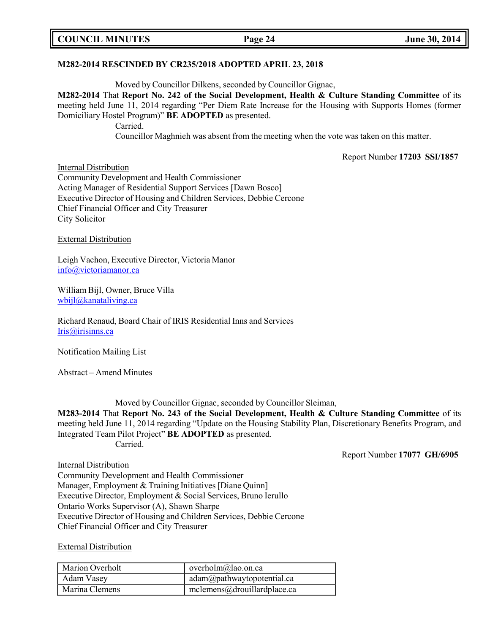|  | <b>COUNCIL MINUTES</b> |
|--|------------------------|
|--|------------------------|

## **M282-2014 RESCINDED BY CR235/2018 ADOPTED APRIL 23, 2018**

Moved by Councillor Dilkens, seconded by Councillor Gignac,

**M282-2014** That **Report No. 242 of the Social Development, Health & Culture Standing Committee** of its meeting held June 11, 2014 regarding "Per Diem Rate Increase for the Housing with Supports Homes (former Domiciliary Hostel Program)" **BE ADOPTED** as presented. Carried.

Councillor Maghnieh was absent from the meeting when the vote was taken on this matter.

Report Number **17203 SSI/1857**

Internal Distribution Community Development and Health Commissioner Acting Manager of Residential Support Services [Dawn Bosco] Executive Director of Housing and Children Services, Debbie Cercone Chief Financial Officer and City Treasurer City Solicitor

External Distribution

Leigh Vachon, Executive Director, Victoria Manor [info@victoriamanor.ca](mailto:info@victoriamanor.ca)

William Bijl, Owner, Bruce Villa [wbijl@kanataliving.ca](mailto:wbijl@kanataliving.ca)

Richard Renaud, Board Chair of IRIS Residential Inns and Services [Iris@irisinns.ca](mailto:Iris@irisinns.ca)

Notification Mailing List

Abstract – Amend Minutes

Moved by Councillor Gignac, seconded by Councillor Sleiman,

**M283-2014** That **Report No. 243 of the Social Development, Health & Culture Standing Committee** of its meeting held June 11, 2014 regarding "Update on the Housing Stability Plan, Discretionary Benefits Program, and Integrated Team Pilot Project" **BE ADOPTED** as presented. Carried.

Report Number **17077 GH/6905**

Internal Distribution

Community Development and Health Commissioner Manager, Employment & Training Initiatives [Diane Quinn] Executive Director, Employment & Social Services, Bruno Ierullo Ontario Works Supervisor (A), Shawn Sharpe Executive Director of Housing and Children Services, Debbie Cercone Chief Financial Officer and City Treasurer

External Distribution

| <b>Marion Overholt</b> | overholm@lao.on.ca           |
|------------------------|------------------------------|
| Adam Vasey             | adam@pathway to potential.ca |
| Marina Clemens         | mclemens@drouillardplace.ca  |

## **COUNCIL EXECUTE:** The same set of  $\mu$  **June** 30, 2014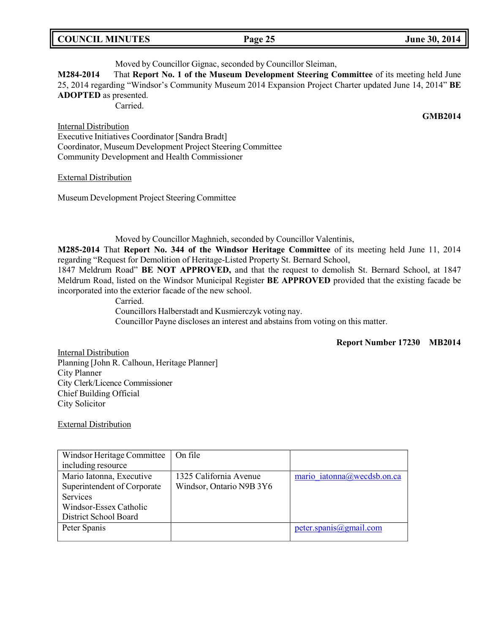## **COUNCIL MINUTES Page 25 June 30, 2014**

### Moved by Councillor Gignac, seconded by Councillor Sleiman,

**M284-2014** That **Report No. 1 of the Museum Development Steering Committee** of its meeting held June 25, 2014 regarding "Windsor's Community Museum 2014 Expansion Project Charter updated June 14, 2014" **BE ADOPTED** as presented.

Carried.

Internal Distribution

Executive Initiatives Coordinator [Sandra Bradt] Coordinator, Museum Development Project Steering Committee Community Development and Health Commissioner

External Distribution

Museum Development Project Steering Committee

Moved by Councillor Maghnieh, seconded by Councillor Valentinis,

**M285-2014** That **Report No. 344 of the Windsor Heritage Committee** of its meeting held June 11, 2014 regarding "Request for Demolition of Heritage-Listed Property St. Bernard School,

1847 Meldrum Road" **BE NOT APPROVED,** and that the request to demolish St. Bernard School, at 1847 Meldrum Road, listed on the Windsor Municipal Register **BE APPROVED** provided that the existing facade be incorporated into the exterior facade of the new school.

> Carried. Councillors Halberstadt and Kusmierczyk voting nay. Councillor Payne discloses an interest and abstains from voting on this matter.

> > **Report Number 17230 MB2014**

Internal Distribution Planning [John R. Calhoun, Heritage Planner] City Planner City Clerk/Licence Commissioner Chief Building Official City Solicitor

External Distribution

| Windsor Heritage Committee  | On file                  |                            |
|-----------------------------|--------------------------|----------------------------|
| including resource          |                          |                            |
| Mario Iatonna, Executive    | 1325 California Avenue   | mario iatonna@wecdsb.on.ca |
| Superintendent of Corporate | Windsor, Ontario N9B 3Y6 |                            |
| <b>Services</b>             |                          |                            |
| Windsor-Essex Catholic      |                          |                            |
| District School Board       |                          |                            |
| Peter Spanis                |                          | peter.spanis@gmail.com     |
|                             |                          |                            |

**GMB2014**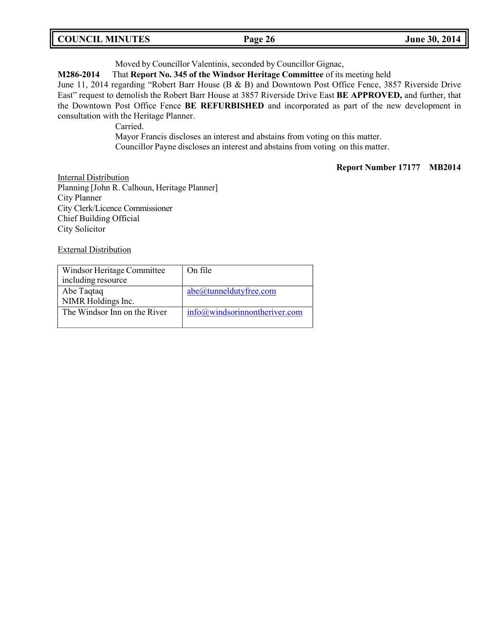| <b>COUNCIL MINUTES</b><br>Page 26 | June 30, 2014 |
|-----------------------------------|---------------|
|-----------------------------------|---------------|

Moved by Councillor Valentinis, seconded by Councillor Gignac,

**M286-2014** That **Report No. 345 of the Windsor Heritage Committee** of its meeting held

June 11, 2014 regarding "Robert Barr House (B & B) and Downtown Post Office Fence, 3857 Riverside Drive East" request to demolish the Robert Barr House at 3857 Riverside Drive East **BE APPROVED,** and further, that the Downtown Post Office Fence **BE REFURBISHED** and incorporated as part of the new development in consultation with the Heritage Planner.

Carried.

Mayor Francis discloses an interest and abstains from voting on this matter. Councillor Payne discloses an interest and abstains from voting on this matter.

**Report Number 17177 MB2014**

**Internal Distribution** Planning [John R. Calhoun, Heritage Planner] City Planner City Clerk/Licence Commissioner Chief Building Official City Solicitor

External Distribution

| Windsor Heritage Committee<br>including resource | On file                                       |
|--------------------------------------------------|-----------------------------------------------|
| Abe Taqtaq<br>NIMR Holdings Inc.                 | abe@tunneldutyfree.com                        |
| The Windsor Inn on the River                     | $info(\hat{\omega})$ windsorinnontheriver.com |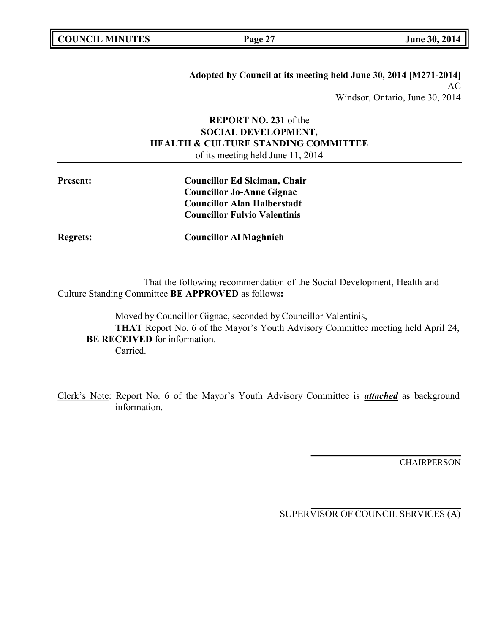| <b>COUNCIL MINUTES</b> |  |
|------------------------|--|
|------------------------|--|

**COUNCIL EXECUTE:** Fig. 2014

**Adopted by Council at its meeting held June 30, 2014 [M271-2014]** AC Windsor, Ontario, June 30, 2014

# **REPORT NO. 231** of the **SOCIAL DEVELOPMENT, HEALTH & CULTURE STANDING COMMITTEE** of its meeting held June 11, 2014

| <b>Present:</b> | <b>Councillor Ed Sleiman, Chair</b> |
|-----------------|-------------------------------------|
|                 | <b>Councillor Jo-Anne Gignac</b>    |
|                 | <b>Councillor Alan Halberstadt</b>  |
|                 | <b>Councillor Fulvio Valentinis</b> |
|                 |                                     |

**Regrets: Councillor Al Maghnieh**

That the following recommendation of the Social Development, Health and Culture Standing Committee **BE APPROVED** as follows**:**

Moved by Councillor Gignac, seconded by Councillor Valentinis, **THAT** Report No. 6 of the Mayor's Youth Advisory Committee meeting held April 24, **BE RECEIVED** for information. Carried.

Clerk's Note: Report No. 6 of the Mayor's Youth Advisory Committee is *attached* as background information.

**CHAIRPERSON**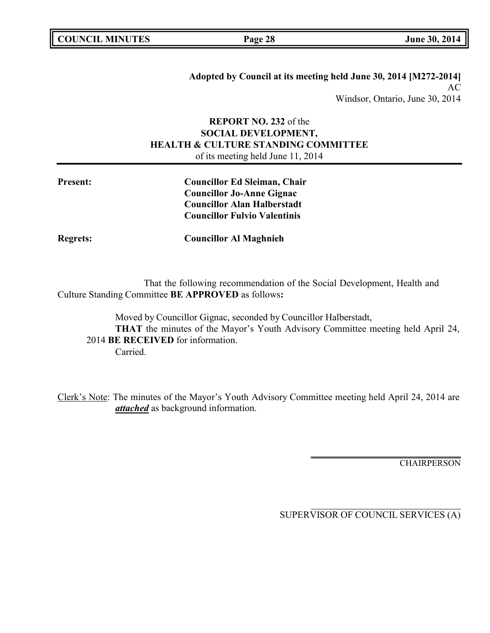|  | <b>COUNCIL MINUTES</b> |
|--|------------------------|
|--|------------------------|

**COUNCIL EXECUTE:** The same set of  $\frac{1}{2}$  **Dune** 30, 2014

**Adopted by Council at its meeting held June 30, 2014 [M272-2014]** AC Windsor, Ontario, June 30, 2014

# **REPORT NO. 232** of the **SOCIAL DEVELOPMENT, HEALTH & CULTURE STANDING COMMITTEE** of its meeting held June 11, 2014

| <b>Present:</b> | <b>Councillor Ed Sleiman, Chair</b> |
|-----------------|-------------------------------------|
|                 | <b>Councillor Jo-Anne Gignac</b>    |
|                 | <b>Councillor Alan Halberstadt</b>  |
|                 | <b>Councillor Fulvio Valentinis</b> |
| <b>Regrets:</b> | <b>Councillor Al Maghnieh</b>       |

That the following recommendation of the Social Development, Health and Culture Standing Committee **BE APPROVED** as follows**:**

Moved by Councillor Gignac, seconded by Councillor Halberstadt, **THAT** the minutes of the Mayor's Youth Advisory Committee meeting held April 24, 2014 **BE RECEIVED** for information. Carried.

Clerk's Note: The minutes of the Mayor's Youth Advisory Committee meeting held April 24, 2014 are *attached* as background information.

**CHAIRPERSON**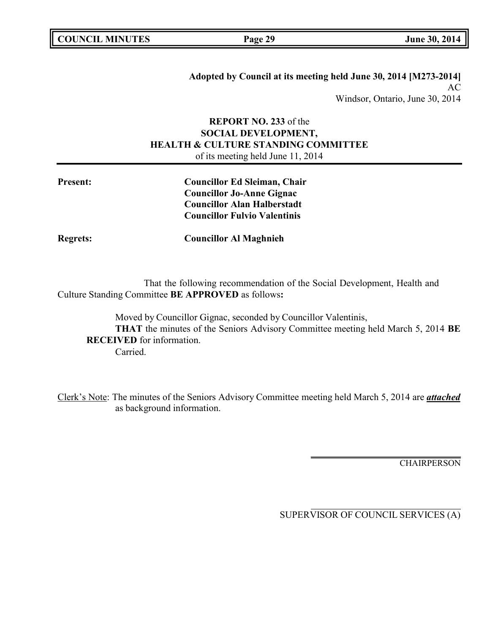|  | <b>COUNCIL MINUTES</b> |
|--|------------------------|
|--|------------------------|

**COUNCIL EXECUTE:** FOR **LIGATION COUNCIL COUNCIL COUNCIL COUNCIL COUNCIL COUNCIL COUNCIL COUNCIL COUNCIL COUNCIL** 

**Adopted by Council at its meeting held June 30, 2014 [M273-2014]** AC Windsor, Ontario, June 30, 2014

# **REPORT NO. 233** of the **SOCIAL DEVELOPMENT, HEALTH & CULTURE STANDING COMMITTEE** of its meeting held June 11, 2014

| <b>Present:</b> | <b>Councillor Ed Sleiman, Chair</b> |
|-----------------|-------------------------------------|
|                 | <b>Councillor Jo-Anne Gignac</b>    |
|                 | <b>Councillor Alan Halberstadt</b>  |
|                 | <b>Councillor Fulvio Valentinis</b> |
| <b>Regrets:</b> | <b>Councillor Al Maghnieh</b>       |

That the following recommendation of the Social Development, Health and Culture Standing Committee **BE APPROVED** as follows**:**

Moved by Councillor Gignac, seconded by Councillor Valentinis, **THAT** the minutes of the Seniors Advisory Committee meeting held March 5, 2014 **BE RECEIVED** for information. Carried.

Clerk's Note: The minutes of the Seniors Advisory Committee meeting held March 5, 2014 are *attached* as background information.

**CHAIRPERSON**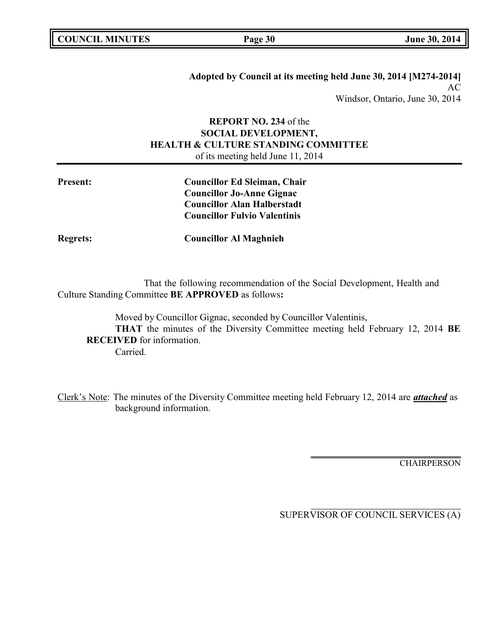**Adopted by Council at its meeting held June 30, 2014 [M274-2014]** AC Windsor, Ontario, June 30, 2014

# **REPORT NO. 234** of the **SOCIAL DEVELOPMENT, HEALTH & CULTURE STANDING COMMITTEE** of its meeting held June 11, 2014

| <b>Present:</b> | <b>Councillor Ed Sleiman, Chair</b> |
|-----------------|-------------------------------------|
|                 | <b>Councillor Jo-Anne Gignac</b>    |
|                 | <b>Councillor Alan Halberstadt</b>  |
|                 | <b>Councillor Fulvio Valentinis</b> |
| <b>Regrets:</b> | <b>Councillor Al Maghnieh</b>       |

That the following recommendation of the Social Development, Health and Culture Standing Committee **BE APPROVED** as follows**:**

Moved by Councillor Gignac, seconded by Councillor Valentinis, **THAT** the minutes of the Diversity Committee meeting held February 12, 2014 **BE RECEIVED** for information. Carried.

Clerk's Note: The minutes of the Diversity Committee meeting held February 12, 2014 are *attached* as background information.

**CHAIRPERSON**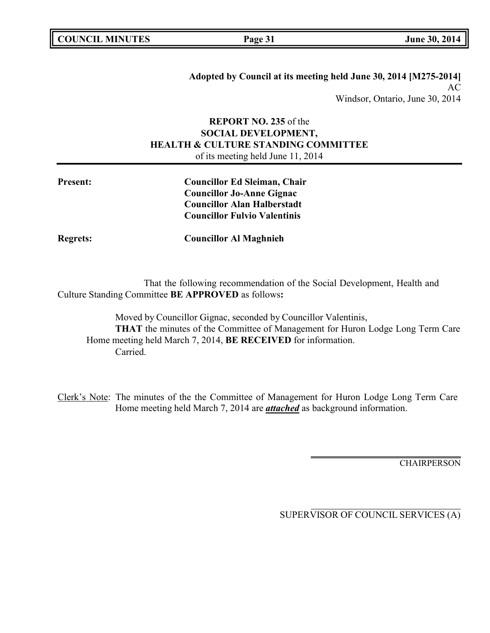| <b>COUNCIL MINUTES</b> |  |
|------------------------|--|
|------------------------|--|

**Adopted by Council at its meeting held June 30, 2014 [M275-2014]** AC Windsor, Ontario, June 30, 2014

# **REPORT NO. 235** of the **SOCIAL DEVELOPMENT, HEALTH & CULTURE STANDING COMMITTEE** of its meeting held June 11, 2014

| <b>Present:</b> | <b>Councillor Ed Sleiman, Chair</b><br><b>Councillor Jo-Anne Gignac</b>   |
|-----------------|---------------------------------------------------------------------------|
|                 | <b>Councillor Alan Halberstadt</b><br><b>Councillor Fulvio Valentinis</b> |
| <b>Regrets:</b> | <b>Councillor Al Maghnieh</b>                                             |

That the following recommendation of the Social Development, Health and Culture Standing Committee **BE APPROVED** as follows**:**

Moved by Councillor Gignac, seconded by Councillor Valentinis, **THAT** the minutes of the Committee of Management for Huron Lodge Long Term Care Home meeting held March 7, 2014, **BE RECEIVED** for information. Carried.

Clerk's Note: The minutes of the the Committee of Management for Huron Lodge Long Term Care Home meeting held March 7, 2014 are *attached* as background information.

**CHAIRPERSON**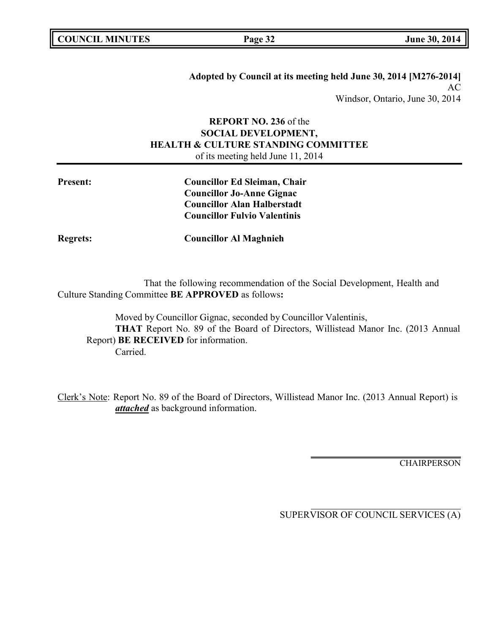**Adopted by Council at its meeting held June 30, 2014 [M276-2014]** AC Windsor, Ontario, June 30, 2014

# **REPORT NO. 236** of the **SOCIAL DEVELOPMENT, HEALTH & CULTURE STANDING COMMITTEE** of its meeting held June 11, 2014

| <b>Present:</b> | <b>Councillor Ed Sleiman, Chair</b> |
|-----------------|-------------------------------------|
|                 | <b>Councillor Jo-Anne Gignac</b>    |
|                 | <b>Councillor Alan Halberstadt</b>  |
|                 | <b>Councillor Fulvio Valentinis</b> |
| <b>Regrets:</b> | <b>Councillor Al Maghnieh</b>       |

That the following recommendation of the Social Development, Health and Culture Standing Committee **BE APPROVED** as follows**:**

Moved by Councillor Gignac, seconded by Councillor Valentinis, **THAT** Report No. 89 of the Board of Directors, Willistead Manor Inc. (2013 Annual Report) **BE RECEIVED** for information. Carried.

Clerk's Note: Report No. 89 of the Board of Directors, Willistead Manor Inc. (2013 Annual Report) is *attached* as background information.

**CHAIRPERSON**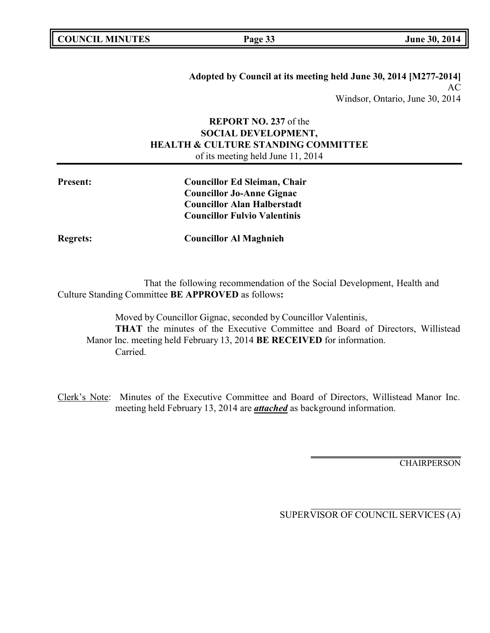|  | <b>COUNCIL MINUTES</b> |
|--|------------------------|
|--|------------------------|

**Adopted by Council at its meeting held June 30, 2014 [M277-2014]** AC Windsor, Ontario, June 30, 2014

# **REPORT NO. 237** of the **SOCIAL DEVELOPMENT, HEALTH & CULTURE STANDING COMMITTEE** of its meeting held June 11, 2014

| <b>Present:</b> | <b>Councillor Ed Sleiman, Chair</b> |
|-----------------|-------------------------------------|
|                 | <b>Councillor Jo-Anne Gignac</b>    |
|                 | <b>Councillor Alan Halberstadt</b>  |
|                 | <b>Councillor Fulvio Valentinis</b> |
| <b>Regrets:</b> | <b>Councillor Al Maghnieh</b>       |

That the following recommendation of the Social Development, Health and Culture Standing Committee **BE APPROVED** as follows**:**

Moved by Councillor Gignac, seconded by Councillor Valentinis, **THAT** the minutes of the Executive Committee and Board of Directors, Willistead Manor Inc. meeting held February 13, 2014 **BE RECEIVED** for information. Carried.

Clerk's Note: Minutes of the Executive Committee and Board of Directors, Willistead Manor Inc. meeting held February 13, 2014 are *attached* as background information.

**CHAIRPERSON**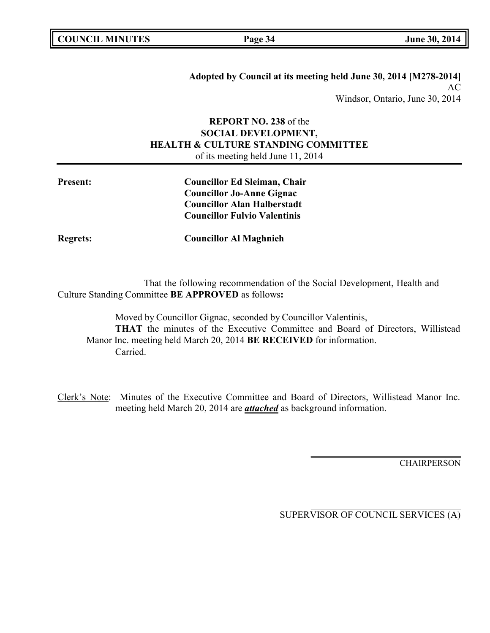|  | <b>COUNCIL MINUTES</b> |
|--|------------------------|
|--|------------------------|

**Adopted by Council at its meeting held June 30, 2014 [M278-2014]** AC Windsor, Ontario, June 30, 2014

# **REPORT NO. 238** of the **SOCIAL DEVELOPMENT, HEALTH & CULTURE STANDING COMMITTEE** of its meeting held June 11, 2014

| <b>Present:</b> | <b>Councillor Ed Sleiman, Chair</b> |
|-----------------|-------------------------------------|
|                 | <b>Councillor Jo-Anne Gignac</b>    |
|                 | <b>Councillor Alan Halberstadt</b>  |
|                 | <b>Councillor Fulvio Valentinis</b> |
| <b>Regrets:</b> | <b>Councillor Al Maghnieh</b>       |

That the following recommendation of the Social Development, Health and Culture Standing Committee **BE APPROVED** as follows**:**

Moved by Councillor Gignac, seconded by Councillor Valentinis, **THAT** the minutes of the Executive Committee and Board of Directors, Willistead Manor Inc. meeting held March 20, 2014 **BE RECEIVED** for information. Carried.

Clerk's Note: Minutes of the Executive Committee and Board of Directors, Willistead Manor Inc. meeting held March 20, 2014 are *attached* as background information.

**CHAIRPERSON**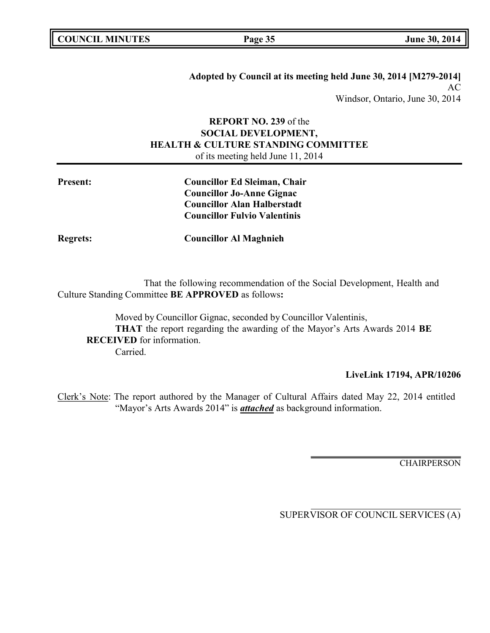|  | <b>COUNCIL MINUTES</b> |
|--|------------------------|
|--|------------------------|

**Adopted by Council at its meeting held June 30, 2014 [M279-2014]** AC Windsor, Ontario, June 30, 2014

# **REPORT NO. 239** of the **SOCIAL DEVELOPMENT, HEALTH & CULTURE STANDING COMMITTEE** of its meeting held June 11, 2014

| <b>Present:</b> | <b>Councillor Ed Sleiman, Chair</b> |
|-----------------|-------------------------------------|
|                 | <b>Councillor Jo-Anne Gignac</b>    |
|                 | <b>Councillor Alan Halberstadt</b>  |
|                 | <b>Councillor Fulvio Valentinis</b> |
| <b>Regrets:</b> | <b>Councillor Al Maghnieh</b>       |

That the following recommendation of the Social Development, Health and Culture Standing Committee **BE APPROVED** as follows**:**

Moved by Councillor Gignac, seconded by Councillor Valentinis, **THAT** the report regarding the awarding of the Mayor's Arts Awards 2014 **BE RECEIVED** for information. Carried.

## **LiveLink 17194, APR/10206**

Clerk's Note: The report authored by the Manager of Cultural Affairs dated May 22, 2014 entitled "Mayor's Arts Awards 2014" is *attached* as background information.

**CHAIRPERSON**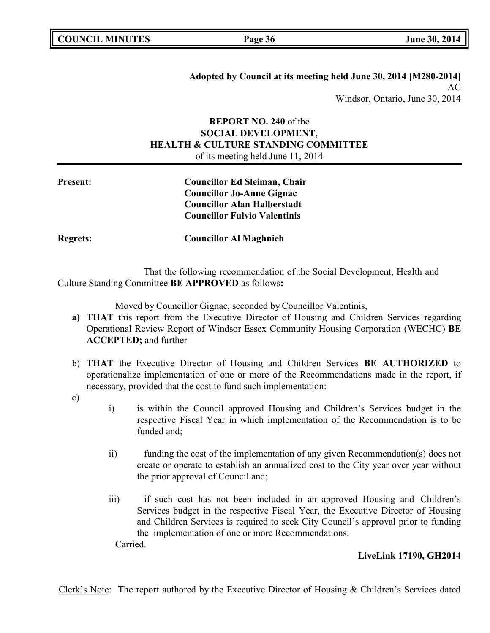**Adopted by Council at its meeting held June 30, 2014 [M280-2014]** AC Windsor, Ontario, June 30, 2014

# **REPORT NO. 240** of the **SOCIAL DEVELOPMENT, HEALTH & CULTURE STANDING COMMITTEE** of its meeting held June 11, 2014

| <b>Present:</b> | <b>Councillor Ed Sleiman, Chair</b> |
|-----------------|-------------------------------------|
|                 | <b>Councillor Jo-Anne Gignac</b>    |
|                 | <b>Councillor Alan Halberstadt</b>  |
|                 | <b>Councillor Fulvio Valentinis</b> |
| <b>Regrets:</b> | <b>Councillor Al Maghnieh</b>       |

That the following recommendation of the Social Development, Health and Culture Standing Committee **BE APPROVED** as follows**:**

Moved by Councillor Gignac, seconded by Councillor Valentinis,

- **a) THAT** this report from the Executive Director of Housing and Children Services regarding Operational Review Report of Windsor Essex Community Housing Corporation (WECHC) **BE ACCEPTED;** and further
- b) **THAT** the Executive Director of Housing and Children Services **BE AUTHORIZED** to operationalize implementation of one or more of the Recommendations made in the report, if necessary, provided that the cost to fund such implementation:

c)

- i) is within the Council approved Housing and Children's Services budget in the respective Fiscal Year in which implementation of the Recommendation is to be funded and;
- ii) funding the cost of the implementation of any given Recommendation(s) does not create or operate to establish an annualized cost to the City year over year without the prior approval of Council and;
- iii) if such cost has not been included in an approved Housing and Children's Services budget in the respective Fiscal Year, the Executive Director of Housing and Children Services is required to seek City Council's approval prior to funding the implementation of one or more Recommendations. Carried.

# **LiveLink 17190, GH2014**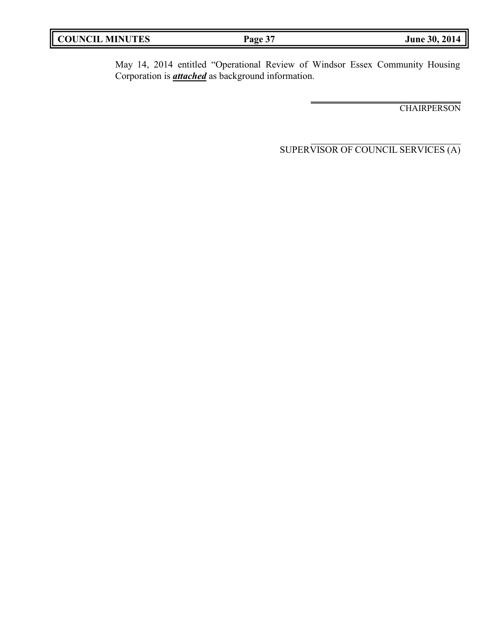| <b>COUNCIL</b><br><b>MINUTES</b> | Page 37 | June 30, 2014 |
|----------------------------------|---------|---------------|
|                                  |         |               |

I

May 14, 2014 entitled "Operational Review of Windsor Essex Community Housing Corporation is *attached* as background information.

**CHAIRPERSON**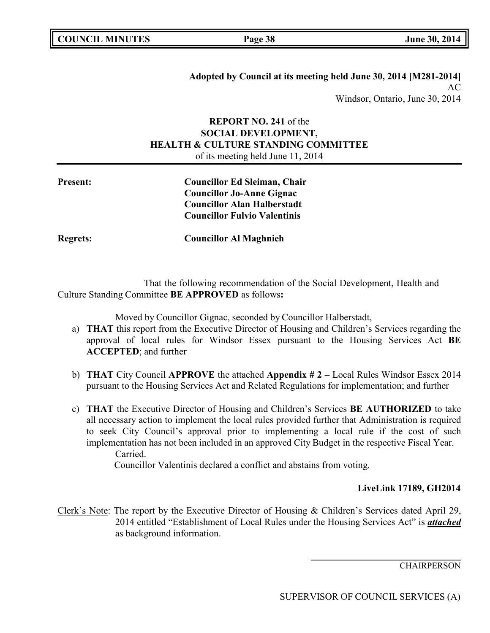**Adopted by Council at its meeting held June 30, 2014 [M281-2014]** AC Windsor, Ontario, June 30, 2014

# **REPORT NO. 241** of the **SOCIAL DEVELOPMENT, HEALTH & CULTURE STANDING COMMITTEE** of its meeting held June 11, 2014

| <b>Present:</b> | <b>Councillor Ed Sleiman, Chair</b> |
|-----------------|-------------------------------------|
|                 | <b>Councillor Jo-Anne Gignac</b>    |
|                 | <b>Councillor Alan Halberstadt</b>  |
|                 | <b>Councillor Fulvio Valentinis</b> |
| <b>Regrets:</b> | <b>Councillor Al Maghnieh</b>       |

That the following recommendation of the Social Development, Health and Culture Standing Committee **BE APPROVED** as follows**:**

Moved by Councillor Gignac, seconded by Councillor Halberstadt,

- a) **THAT** this report from the Executive Director of Housing and Children's Services regarding the approval of local rules for Windsor Essex pursuant to the Housing Services Act **BE ACCEPTED**; and further
- b) **THAT** City Council **APPROVE** the attached **Appendix # 2 –** Local Rules Windsor Essex 2014 pursuant to the Housing Services Act and Related Regulations for implementation; and further
- c) **THAT** the Executive Director of Housing and Children's Services **BE AUTHORIZED** to take all necessary action to implement the local rules provided further that Administration is required to seek City Council's approval prior to implementing a local rule if the cost of such implementation has not been included in an approved City Budget in the respective Fiscal Year. Carried.

Councillor Valentinis declared a conflict and abstains from voting.

# **LiveLink 17189, GH2014**

Clerk's Note: The report by the Executive Director of Housing & Children's Services dated April 29, 2014 entitled "Establishment of Local Rules under the Housing Services Act" is *attached* as background information.

**CHAIRPERSON**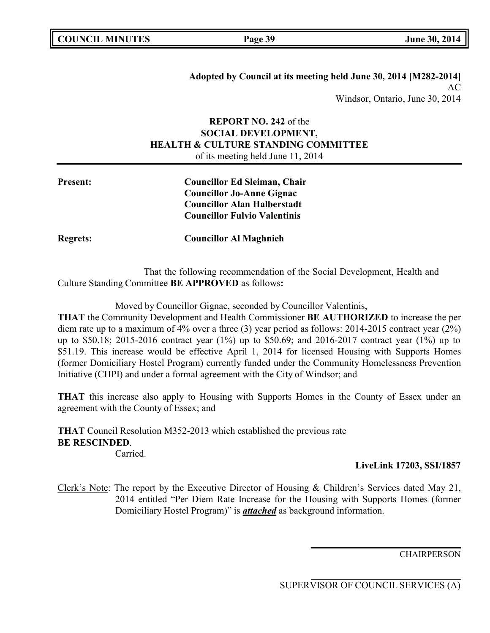**Adopted by Council at its meeting held June 30, 2014 [M282-2014]** AC Windsor, Ontario, June 30, 2014

# **REPORT NO. 242** of the **SOCIAL DEVELOPMENT, HEALTH & CULTURE STANDING COMMITTEE** of its meeting held June 11, 2014

| <b>Present:</b> | <b>Councillor Ed Sleiman, Chair</b> |
|-----------------|-------------------------------------|
|                 | <b>Councillor Jo-Anne Gignac</b>    |
|                 | <b>Councillor Alan Halberstadt</b>  |
|                 | <b>Councillor Fulvio Valentinis</b> |
| <b>Regrets:</b> | <b>Councillor Al Maghnieh</b>       |

That the following recommendation of the Social Development, Health and Culture Standing Committee **BE APPROVED** as follows**:**

Moved by Councillor Gignac, seconded by Councillor Valentinis,

**THAT** the Community Development and Health Commissioner **BE AUTHORIZED** to increase the per diem rate up to a maximum of 4% over a three (3) year period as follows: 2014-2015 contract year (2%) up to \$50.18; 2015-2016 contract year (1%) up to \$50.69; and 2016-2017 contract year (1%) up to \$51.19. This increase would be effective April 1, 2014 for licensed Housing with Supports Homes (former Domiciliary Hostel Program) currently funded under the Community Homelessness Prevention Initiative (CHPI) and under a formal agreement with the City of Windsor; and

**THAT** this increase also apply to Housing with Supports Homes in the County of Essex under an agreement with the County of Essex; and

**THAT** Council Resolution M352-2013 which established the previous rate **BE RESCINDED**. Carried.

# **LiveLink 17203, SSI/1857**

Clerk's Note: The report by the Executive Director of Housing & Children's Services dated May 21, 2014 entitled "Per Diem Rate Increase for the Housing with Supports Homes (former Domiciliary Hostel Program)" is *attached* as background information.

**CHAIRPERSON**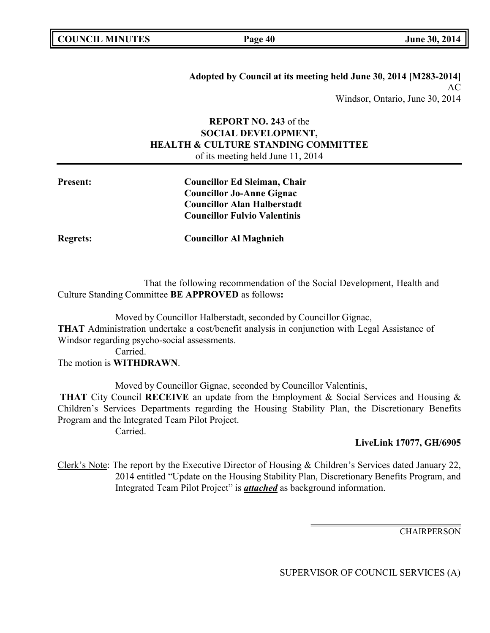**Adopted by Council at its meeting held June 30, 2014 [M283-2014]** AC Windsor, Ontario, June 30, 2014

# **REPORT NO. 243** of the **SOCIAL DEVELOPMENT, HEALTH & CULTURE STANDING COMMITTEE** of its meeting held June 11, 2014

| <b>Present:</b> | <b>Councillor Ed Sleiman, Chair</b><br><b>Councillor Jo-Anne Gignac</b>   |
|-----------------|---------------------------------------------------------------------------|
|                 | <b>Councillor Alan Halberstadt</b><br><b>Councillor Fulvio Valentinis</b> |
| <b>Regrets:</b> | <b>Councillor Al Maghnieh</b>                                             |

That the following recommendation of the Social Development, Health and Culture Standing Committee **BE APPROVED** as follows**:**

Moved by Councillor Halberstadt, seconded by Councillor Gignac, **THAT** Administration undertake a cost/benefit analysis in conjunction with Legal Assistance of Windsor regarding psycho-social assessments. Carried.

The motion is **WITHDRAWN**.

Moved by Councillor Gignac, seconded by Councillor Valentinis,

**THAT** City Council **RECEIVE** an update from the Employment & Social Services and Housing & Children's Services Departments regarding the Housing Stability Plan, the Discretionary Benefits Program and the Integrated Team Pilot Project.

Carried.

# **LiveLink 17077, GH/6905**

Clerk's Note: The report by the Executive Director of Housing & Children's Services dated January 22, 2014 entitled "Update on the Housing Stability Plan, Discretionary Benefits Program, and Integrated Team Pilot Project" is *attached* as background information.

**CHAIRPERSON**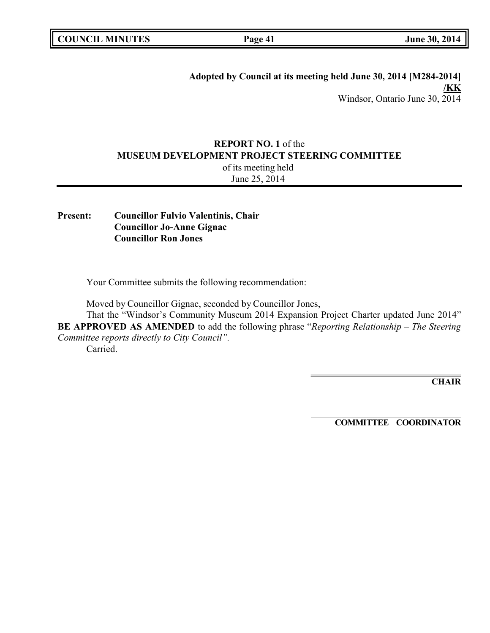| <b>COUNCIL MINUTES</b> |  |
|------------------------|--|
|------------------------|--|

**Page 41 June 30, 2014** 

**Adopted by Council at its meeting held June 30, 2014 [M284-2014] /KK** Windsor, Ontario June 30, 2014

# **REPORT NO. 1** of the **MUSEUM DEVELOPMENT PROJECT STEERING COMMITTEE**

of its meeting held June 25, 2014

**Present: Councillor Fulvio Valentinis, Chair Councillor Jo-Anne Gignac Councillor Ron Jones**

Your Committee submits the following recommendation:

Moved by Councillor Gignac, seconded by Councillor Jones,

That the "Windsor's Community Museum 2014 Expansion Project Charter updated June 2014" **BE APPROVED AS AMENDED** to add the following phrase "*Reporting Relationship – The Steering Committee reports directly to City Council".* Carried.

**CHAIR**

**COMMITTEE COORDINATOR**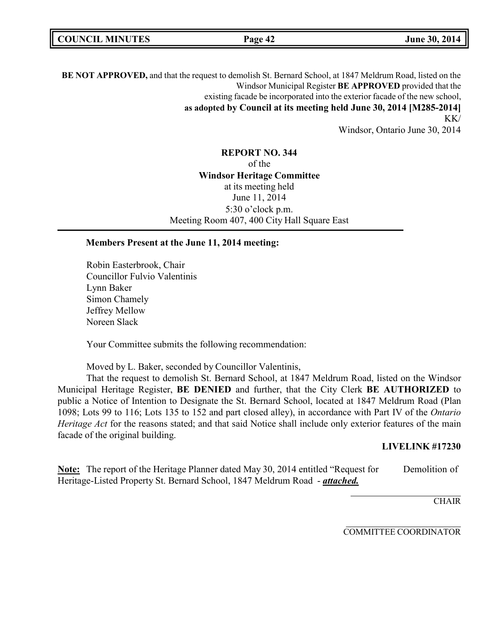| <b>COUNCIL MINUTES</b> | Page 42 | June 30, 2014 |
|------------------------|---------|---------------|
|------------------------|---------|---------------|

**BE NOT APPROVED,** and that the request to demolish St. Bernard School, at 1847 Meldrum Road, listed on the Windsor Municipal Register **BE APPROVED** provided that the existing facade be incorporated into the exterior facade of the new school, **as adopted by Council at its meeting held June 30, 2014 [M285-2014]** KK/

Windsor, Ontario June 30, 2014

**REPORT NO. 344** of the **Windsor Heritage Committee** at its meeting held June 11, 2014 5:30 o'clock p.m. Meeting Room 407, 400 City Hall Square East

### **Members Present at the June 11, 2014 meeting:**

Robin Easterbrook, Chair Councillor Fulvio Valentinis Lynn Baker Simon Chamely Jeffrey Mellow Noreen Slack

Your Committee submits the following recommendation:

Moved by L. Baker, seconded by Councillor Valentinis,

That the request to demolish St. Bernard School, at 1847 Meldrum Road, listed on the Windsor Municipal Heritage Register, **BE DENIED** and further, that the City Clerk **BE AUTHORIZED** to public a Notice of Intention to Designate the St. Bernard School, located at 1847 Meldrum Road (Plan 1098; Lots 99 to 116; Lots 135 to 152 and part closed alley), in accordance with Part IV of the *Ontario Heritage Act* for the reasons stated; and that said Notice shall include only exterior features of the main facade of the original building.

### **LIVELINK #17230**

**Note:** The report of the Heritage Planner dated May 30, 2014 entitled "Request for Demolition of Heritage-Listed Property St. Bernard School, 1847 Meldrum Road - *attached.*

**CHAIR** 

COMMITTEE COORDINATOR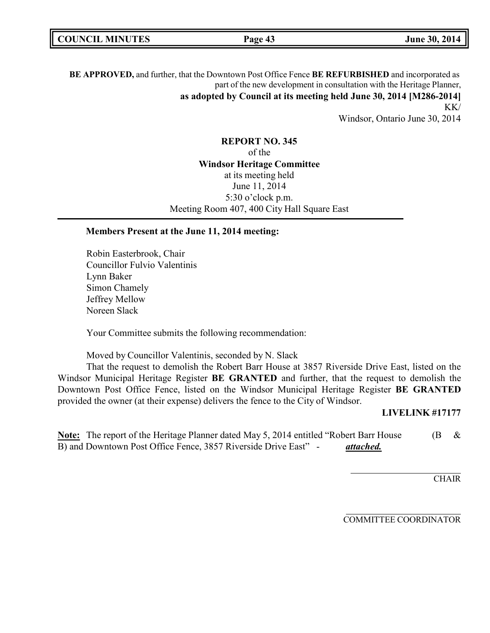|--|

**BE APPROVED,** and further, that the Downtown Post Office Fence **BE REFURBISHED** and incorporated as part of the new development in consultation with the Heritage Planner, **as adopted by Council at its meeting held June 30, 2014 [M286-2014]** KK/

Windsor, Ontario June 30, 2014

**REPORT NO. 345** of the **Windsor Heritage Committee** at its meeting held June 11, 2014 5:30 o'clock p.m. Meeting Room 407, 400 City Hall Square East

#### **Members Present at the June 11, 2014 meeting:**

Robin Easterbrook, Chair Councillor Fulvio Valentinis Lynn Baker Simon Chamely Jeffrey Mellow Noreen Slack

Your Committee submits the following recommendation:

Moved by Councillor Valentinis, seconded by N. Slack

That the request to demolish the Robert Barr House at 3857 Riverside Drive East, listed on the Windsor Municipal Heritage Register **BE GRANTED** and further, that the request to demolish the Downtown Post Office Fence, listed on the Windsor Municipal Heritage Register **BE GRANTED** provided the owner (at their expense) delivers the fence to the City of Windsor.

#### **LIVELINK #17177**

Note: The report of the Heritage Planner dated May 5, 2014 entitled "Robert Barr House (B & B) and Downtown Post Office Fence, 3857 Riverside Drive East" - *attached.*

**CHAIR** 

COMMITTEE COORDINATOR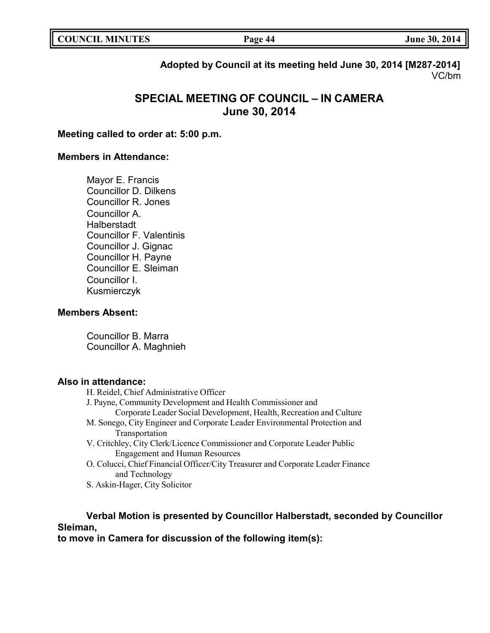| <b>COUNCIL MINUTES</b> | Page 44 | June 30, 2014 |
|------------------------|---------|---------------|
|                        |         |               |

**Adopted by Council at its meeting held June 30, 2014 [M287-2014]** VC/bm

# **SPECIAL MEETING OF COUNCIL – IN CAMERA June 30, 2014**

**Meeting called to order at: 5:00 p.m.**

## **Members in Attendance:**

Mayor E. Francis Councillor D. Dilkens Councillor R. Jones Councillor A. Halberstadt Councillor F. Valentinis Councillor J. Gignac Councillor H. Payne Councillor E. Sleiman Councillor I. Kusmierczyk

# **Members Absent:**

Councillor B. Marra Councillor A. Maghnieh

# **Also in attendance:**

H. Reidel, Chief Administrative Officer J. Payne, Community Development and Health Commissioner and Corporate Leader Social Development, Health, Recreation and Culture M. Sonego, City Engineer and Corporate Leader Environmental Protection and Transportation V. Critchley, City Clerk/Licence Commissioner and Corporate Leader Public Engagement and Human Resources O. Colucci, Chief Financial Officer/City Treasurer and Corporate Leader Finance and Technology

S. Askin-Hager, City Solicitor

# **Verbal Motion is presented by Councillor Halberstadt, seconded by Councillor Sleiman,**

**to move in Camera for discussion of the following item(s):**